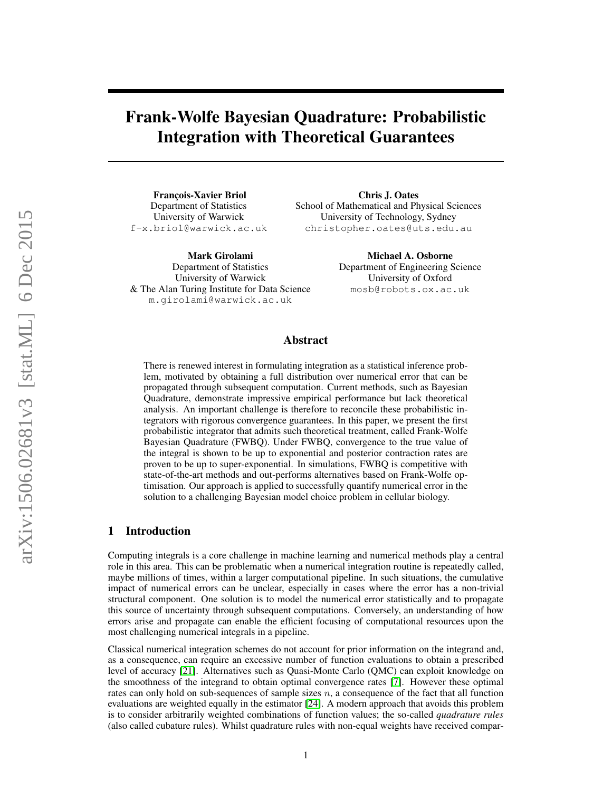# Frank-Wolfe Bayesian Quadrature: Probabilistic Integration with Theoretical Guarantees

François-Xavier Briol Department of Statistics University of Warwick f-x.briol@warwick.ac.uk

Mark Girolami Department of Statistics University of Warwick & The Alan Turing Institute for Data Science m.girolami@warwick.ac.uk

Chris J. Oates School of Mathematical and Physical Sciences University of Technology, Sydney christopher.oates@uts.edu.au

> Michael A. Osborne Department of Engineering Science University of Oxford mosb@robots.ox.ac.uk

# Abstract

There is renewed interest in formulating integration as a statistical inference problem, motivated by obtaining a full distribution over numerical error that can be propagated through subsequent computation. Current methods, such as Bayesian Quadrature, demonstrate impressive empirical performance but lack theoretical analysis. An important challenge is therefore to reconcile these probabilistic integrators with rigorous convergence guarantees. In this paper, we present the first probabilistic integrator that admits such theoretical treatment, called Frank-Wolfe Bayesian Quadrature (FWBQ). Under FWBQ, convergence to the true value of the integral is shown to be up to exponential and posterior contraction rates are proven to be up to super-exponential. In simulations, FWBQ is competitive with state-of-the-art methods and out-performs alternatives based on Frank-Wolfe optimisation. Our approach is applied to successfully quantify numerical error in the solution to a challenging Bayesian model choice problem in cellular biology.

# 1 Introduction

Computing integrals is a core challenge in machine learning and numerical methods play a central role in this area. This can be problematic when a numerical integration routine is repeatedly called, maybe millions of times, within a larger computational pipeline. In such situations, the cumulative impact of numerical errors can be unclear, especially in cases where the error has a non-trivial structural component. One solution is to model the numerical error statistically and to propagate this source of uncertainty through subsequent computations. Conversely, an understanding of how errors arise and propagate can enable the efficient focusing of computational resources upon the most challenging numerical integrals in a pipeline.

Classical numerical integration schemes do not account for prior information on the integrand and, as a consequence, can require an excessive number of function evaluations to obtain a prescribed level of accuracy [\[21\]](#page-8-0). Alternatives such as Quasi-Monte Carlo (QMC) can exploit knowledge on the smoothness of the integrand to obtain optimal convergence rates [\[7\]](#page-8-1). However these optimal rates can only hold on sub-sequences of sample sizes  $n$ , a consequence of the fact that all function evaluations are weighted equally in the estimator [\[24\]](#page-8-2). A modern approach that avoids this problem is to consider arbitrarily weighted combinations of function values; the so-called *quadrature rules* (also called cubature rules). Whilst quadrature rules with non-equal weights have received compar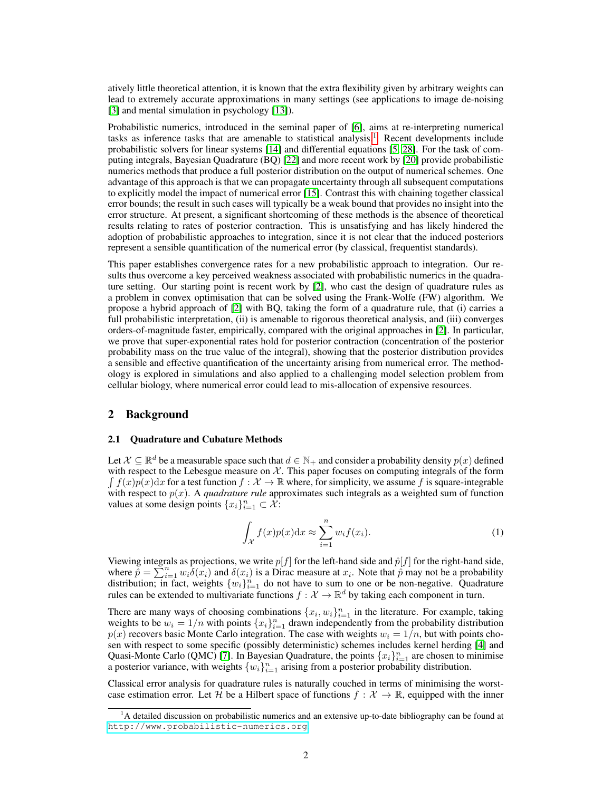atively little theoretical attention, it is known that the extra flexibility given by arbitrary weights can lead to extremely accurate approximations in many settings (see applications to image de-noising [\[3\]](#page-8-3) and mental simulation in psychology [\[13\]](#page-8-4)).

Probabilistic numerics, introduced in the seminal paper of [\[6\]](#page-8-5), aims at re-interpreting numerical tasks as inference tasks that are amenable to statistical analysis.<sup>[1](#page-1-0)</sup> Recent developments include probabilistic solvers for linear systems [\[14\]](#page-8-6) and differential equations [\[5,](#page-8-7) [28\]](#page-9-0). For the task of computing integrals, Bayesian Quadrature (BQ) [\[22\]](#page-8-8) and more recent work by [\[20\]](#page-8-9) provide probabilistic numerics methods that produce a full posterior distribution on the output of numerical schemes. One advantage of this approach is that we can propagate uncertainty through all subsequent computations to explicitly model the impact of numerical error [\[15\]](#page-8-10). Contrast this with chaining together classical error bounds; the result in such cases will typically be a weak bound that provides no insight into the error structure. At present, a significant shortcoming of these methods is the absence of theoretical results relating to rates of posterior contraction. This is unsatisfying and has likely hindered the adoption of probabilistic approaches to integration, since it is not clear that the induced posteriors represent a sensible quantification of the numerical error (by classical, frequentist standards).

This paper establishes convergence rates for a new probabilistic approach to integration. Our results thus overcome a key perceived weakness associated with probabilistic numerics in the quadrature setting. Our starting point is recent work by [\[2\]](#page-8-11), who cast the design of quadrature rules as a problem in convex optimisation that can be solved using the Frank-Wolfe (FW) algorithm. We propose a hybrid approach of [\[2\]](#page-8-11) with BQ, taking the form of a quadrature rule, that (i) carries a full probabilistic interpretation, (ii) is amenable to rigorous theoretical analysis, and (iii) converges orders-of-magnitude faster, empirically, compared with the original approaches in [\[2\]](#page-8-11). In particular, we prove that super-exponential rates hold for posterior contraction (concentration of the posterior probability mass on the true value of the integral), showing that the posterior distribution provides a sensible and effective quantification of the uncertainty arising from numerical error. The methodology is explored in simulations and also applied to a challenging model selection problem from cellular biology, where numerical error could lead to mis-allocation of expensive resources.

# 2 Background

#### 2.1 Quadrature and Cubature Methods

Let  $\mathcal{X} \subseteq \mathbb{R}^d$  be a measurable space such that  $d \in \mathbb{N}_+$  and consider a probability density  $p(x)$  defined with respect to the Lebesgue measure on  $X$ . This paper focuses on computing integrals of the form  $\int f(x)p(x)dx$  for a test function  $f: \mathcal{X} \to \mathbb{R}$  where, for simplicity, we assume f is square-integrable with respect to p(x). A *quadrature rule* approximates such integrals as a weighted sum of function values at some design points  $\{x_i\}_{i=1}^n \subset \mathcal{X}$ :

$$
\int_{\mathcal{X}} f(x)p(x)dx \approx \sum_{i=1}^{n} w_i f(x_i).
$$
 (1)

Viewing integrals as projections, we write  $p[f]$  for the left-hand side and  $\hat{p}[f]$  for the right-hand side, where  $\widetilde{p} = \sum_{i=1}^{n} w_i \delta(x_i)$  and  $\delta(x_i)$  is a Dirac measure at  $x_i$ . Note that  $\widetilde{p}$  may not be a probability distribution; in fact, weights  $\{w_i\}_{i=1}^n$  do not have to sum to one or be non-negative. Quadrature rules can be extended to multivariate functions  $f: \mathcal{X} \to \mathbb{R}^d$  by taking each component in turn.

There are many ways of choosing combinations  $\{x_i, w_i\}_{i=1}^n$  in the literature. For example, taking weights to be  $w_i = 1/n$  with points  $\{x_i\}_{i=1}^n$  drawn independently from the probability distribution  $p(x)$  recovers basic Monte Carlo integration. The case with weights  $w_i = 1/n$ , but with points chosen with respect to some specific (possibly deterministic) schemes includes kernel herding [\[4\]](#page-8-12) and Quasi-Monte Carlo (QMC) [\[7\]](#page-8-1). In Bayesian Quadrature, the points  $\{x_i\}_{i=1}^n$  are chosen to minimise a posterior variance, with weights  $\{w_i\}_{i=1}^n$  arising from a posterior probability distribution.

Classical error analysis for quadrature rules is naturally couched in terms of minimising the worstcase estimation error. Let H be a Hilbert space of functions  $f : \mathcal{X} \to \mathbb{R}$ , equipped with the inner

<span id="page-1-0"></span> $<sup>1</sup>A$  detailed discussion on probabilistic numerics and an extensive up-to-date bibliography can be found at</sup> <http://www.probabilistic-numerics.org>.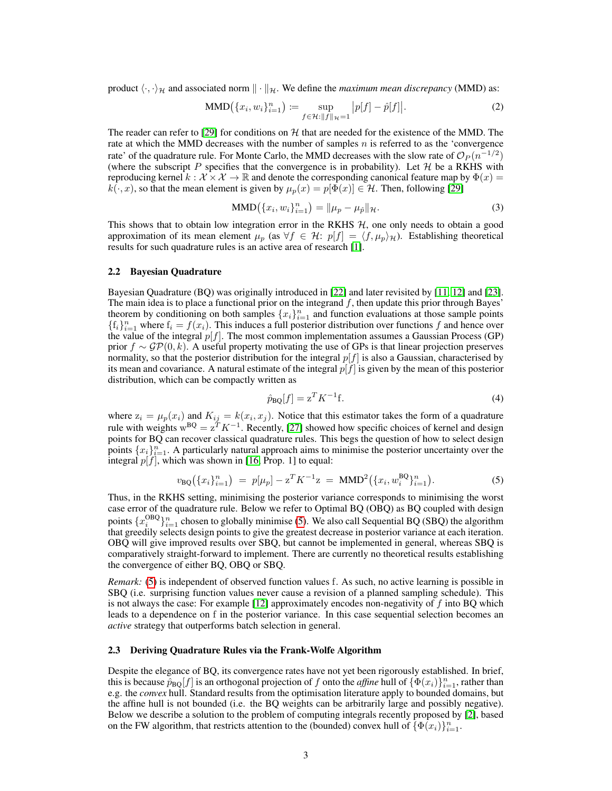product  $\langle \cdot, \cdot \rangle_H$  and associated norm  $\|\cdot\|_H$ . We define the *maximum mean discrepancy* (MMD) as:

$$
\text{MMD}(\{x_i, w_i\}_{i=1}^n) := \sup_{f \in \mathcal{H}: ||f||_{\mathcal{H}} = 1} |p[f] - \hat{p}[f]|.
$$
 (2)

The reader can refer to [\[29\]](#page-9-1) for conditions on  $H$  that are needed for the existence of the MMD. The rate at which the MMD decreases with the number of samples n is referred to as the 'convergence rate' of the quadrature rule. For Monte Carlo, the MMD decreases with the slow rate of  $\mathcal{O}_P(n^{-1/2})$ (where the subscript P specifies that the convergence is in probability). Let  $H$  be a RKHS with reproducing kernel  $k : \mathcal{X} \times \mathcal{X} \to \mathbb{R}$  and denote the corresponding canonical feature map by  $\Phi(x) =$  $k(\cdot, x)$ , so that the mean element is given by  $\mu_p(x) = p[\Phi(x)] \in \mathcal{H}$ . Then, following [\[29\]](#page-9-1)

$$
MMD(\{x_i, w_i\}_{i=1}^n) = \|\mu_p - \mu_{\hat{p}}\|_{\mathcal{H}}.
$$
\n(3)

This shows that to obtain low integration error in the RKHS  $H$ , one only needs to obtain a good approximation of its mean element  $\mu_p$  (as  $\forall f \in \mathcal{H}: p[f] = \langle f, \mu_p \rangle_{\mathcal{H}}$ ). Establishing theoretical results for such quadrature rules is an active area of research [\[1\]](#page-8-13).

#### <span id="page-2-1"></span>2.2 Bayesian Quadrature

Bayesian Quadrature (BQ) was originally introduced in [\[22\]](#page-8-8) and later revisited by [\[11,](#page-8-14) [12\]](#page-8-15) and [\[23\]](#page-8-16). The main idea is to place a functional prior on the integrand  $f$ , then update this prior through Bayes' theorem by conditioning on both samples  $\{x_i\}_{i=1}^n$  and function evaluations at those sample points  $\{f_i\}_{i=1}^n$  where  $f_i = f(x_i)$ . This induces a full posterior distribution over functions f and hence over the value of the integral  $p[f]$ . The most common implementation assumes a Gaussian Process (GP) prior  $f \sim \mathcal{GP}(0, k)$ . A useful property motivating the use of GPs is that linear projection preserves normality, so that the posterior distribution for the integral  $p[f]$  is also a Gaussian, characterised by its mean and covariance. A natural estimate of the integral  $p[f]$  is given by the mean of this posterior distribution, which can be compactly written as

$$
\hat{p}_{\text{BQ}}[f] = z^T K^{-1} \text{f}.\tag{4}
$$

where  $z_i = \mu_p(x_i)$  and  $K_{ij} = k(x_i, x_j)$ . Notice that this estimator takes the form of a quadrature rule with weights  $w^{BQ} = z^T K^{-1}$ . Recently, [\[27\]](#page-9-2) showed how specific choices of kernel and design points for BQ can recover classical quadrature rules. This begs the question of how to select design points  $\{x_i\}_{i=1}^n$ . A particularly natural approach aims to minimise the posterior uncertainty over the integral  $p[f]$ , which was shown in [\[16,](#page-8-17) Prop. 1] to equal:

<span id="page-2-0"></span>
$$
v_{\rm BQ}(\{x_i\}_{i=1}^n) = p[\mu_p] - z^T K^{-1} z = \rm{MMD}^2(\{x_i, w_i^{\rm BQ}\}_{i=1}^n). \tag{5}
$$

Thus, in the RKHS setting, minimising the posterior variance corresponds to minimising the worst case error of the quadrature rule. Below we refer to Optimal BQ (OBQ) as BQ coupled with design points  $\{x_i^{\text{OBQ}}\}_{i=1}^n$  chosen to globally minimise [\(5\)](#page-2-0). We also call Sequential BQ (SBQ) the algorithm that greedily selects design points to give the greatest decrease in posterior variance at each iteration. OBQ will give improved results over SBQ, but cannot be implemented in general, whereas SBQ is comparatively straight-forward to implement. There are currently no theoretical results establishing the convergence of either BQ, OBQ or SBQ.

*Remark:* [\(5\)](#page-2-0) is independent of observed function values f. As such, no active learning is possible in SBQ (i.e. surprising function values never cause a revision of a planned sampling schedule). This is not always the case: For example  $[12]$  approximately encodes non-negativity of f into BQ which leads to a dependence on f in the posterior variance. In this case sequential selection becomes an *active* strategy that outperforms batch selection in general.

#### 2.3 Deriving Quadrature Rules via the Frank-Wolfe Algorithm

Despite the elegance of BQ, its convergence rates have not yet been rigorously established. In brief, this is because  $\hat{p}_{BQ}[f]$  is an orthogonal projection of f onto the *affine* hull of  $\{\Phi(x_i)\}_{i=1}^n$ , rather than e.g. the *convex* hull. Standard results from the optimisation literature apply to bounded domains, but the affine hull is not bounded (i.e. the BQ weights can be arbitrarily large and possibly negative). Below we describe a solution to the problem of computing integrals recently proposed by [\[2\]](#page-8-11), based on the FW algorithm, that restricts attention to the (bounded) convex hull of  $\{\Phi(x_i)\}_{i=1}^n$ .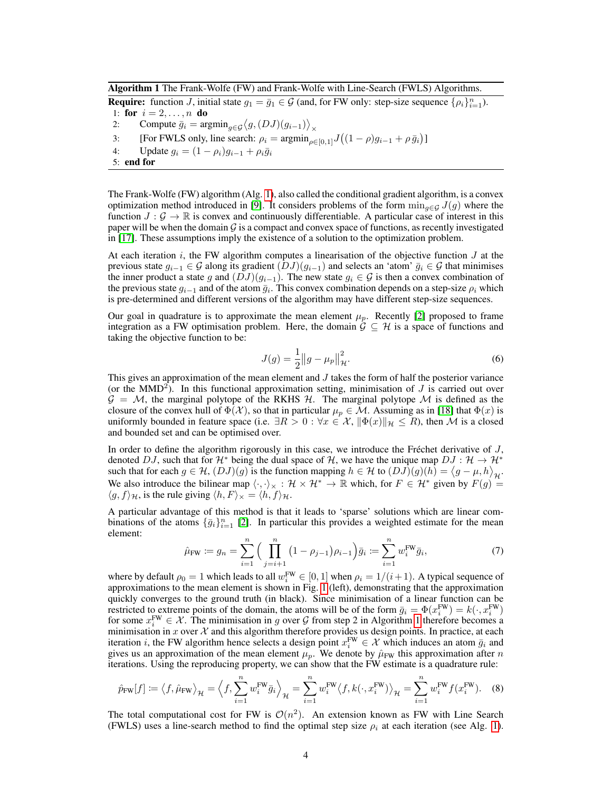<span id="page-3-0"></span>Algorithm 1 The Frank-Wolfe (FW) and Frank-Wolfe with Line-Search (FWLS) Algorithms.

**Require:** function *J*, initial state  $g_1 = \bar{g}_1 \in \mathcal{G}$  (and, for FW only: step-size sequence  $\{\rho_i\}_{i=1}^n$ ). 1: for  $i = 2, ..., n$  do

- 2: Compute  $\bar{g}_i = \operatorname{argmin}_{g \in \mathcal{G}} \langle g, (DJ)(g_{i-1}) \rangle_{\times}$
- 3: [For FWLS only, line search:  $\rho_i = \operatorname{argmin}_{\rho \in [0,1]} J((1 \rho)g_{i-1} + \rho \bar{g}_i)$ ]
- 4: Update  $g_i = (1 \rho_i)g_{i-1} + \rho_i \bar{g}_i$
- 5: end for

The Frank-Wolfe (FW) algorithm (Alg. [1\)](#page-3-0), also called the conditional gradient algorithm, is a convex optimization method introduced in [\[9\]](#page-8-18). It considers problems of the form  $\min_{q \in \mathcal{G}} J(q)$  where the function  $J: \mathcal{G} \to \mathbb{R}$  is convex and continuously differentiable. A particular case of interest in this paper will be when the domain  $\mathcal G$  is a compact and convex space of functions, as recently investigated in [\[17\]](#page-8-19). These assumptions imply the existence of a solution to the optimization problem.

At each iteration i, the FW algorithm computes a linearisation of the objective function  $J$  at the previous state  $g_{i-1} \in \mathcal{G}$  along its gradient  $(DJ)(g_{i-1})$  and selects an 'atom'  $\bar{g}_i \in \mathcal{G}$  that minimises the inner product a state g and  $(DJ)(g_{i-1})$ . The new state  $g_i \in G$  is then a convex combination of the previous state  $g_{i-1}$  and of the atom  $\bar{g}_i$ . This convex combination depends on a step-size  $\rho_i$  which is pre-determined and different versions of the algorithm may have different step-size sequences.

Our goal in quadrature is to approximate the mean element  $\mu_p$ . Recently [\[2\]](#page-8-11) proposed to frame integration as a FW optimisation problem. Here, the domain  $G \subseteq H$  is a space of functions and taking the objective function to be:

$$
J(g) = \frac{1}{2} ||g - \mu_p||_H^2.
$$
 (6)

This gives an approximation of the mean element and  $J$  takes the form of half the posterior variance (or the MMD<sup>2</sup>). In this functional approximation setting, minimisation of  $J$  is carried out over  $G = M$ , the marginal polytope of the RKHS H. The marginal polytope M is defined as the closure of the convex hull of  $\Phi(\mathcal{X})$ , so that in particular  $\mu_p \in \mathcal{M}$ . Assuming as in [\[18\]](#page-8-20) that  $\Phi(x)$  is uniformly bounded in feature space (i.e.  $\exists R > 0 : \forall x \in \mathcal{X}, \|\Phi(x)\|_{\mathcal{H}} \leq R$ ), then M is a closed and bounded set and can be optimised over.

In order to define the algorithm rigorously in this case, we introduce the Fréchet derivative of  $J$ , denoted DJ, such that for  $\mathcal{H}^*$  being the dual space of  $\mathcal{H}$ , we have the unique map  $DJ : \mathcal{H} \to \mathcal{H}^*$ such that for each  $g \in H$ ,  $(DJ)(g)$  is the function mapping  $h \in H$  to  $(DJ)(g)(h) = \langle g - \mu, h \rangle_H$ . We also introduce the bilinear map  $\langle \cdot, \cdot \rangle_{\times} : \mathcal{H} \times \mathcal{H}^* \to \mathbb{R}$  which, for  $F \in \mathcal{H}^*$  given by  $F(g) =$  $\langle g, f \rangle_{\mathcal{H}}$ , is the rule giving  $\langle h, F \rangle_{\mathcal{H}} = \langle h, f \rangle_{\mathcal{H}}$ .

A particular advantage of this method is that it leads to 'sparse' solutions which are linear combinations of the atoms  $\{\bar{g}_i\}_{i=1}^n$  [\[2\]](#page-8-11). In particular this provides a weighted estimate for the mean element:

$$
\hat{\mu}_{\text{FW}} := g_n = \sum_{i=1}^n \Big( \prod_{j=i+1}^n (1 - \rho_{j-1}) \rho_{i-1} \Big) \bar{g}_i := \sum_{i=1}^n w_i^{\text{FW}} \bar{g}_i,
$$
\n(7)

where by default  $\rho_0 = 1$  which leads to all  $w_i^{\text{FW}} \in [0, 1]$  when  $\rho_i = 1/(i+1)$ . A typical sequence of approximations to the mean element is shown in Fig. [1](#page-4-0) (left), demonstrating that the approximation quickly converges to the ground truth (in black). Since minimisation of a linear function can be restricted to extreme points of the domain, the atoms will be of the form  $\bar{g}_i = \Phi(x_i^{\text{FW}}) = k(\cdot, x_i^{\text{FW}})$ for some  $x_i^{\text{FW}} \in \mathcal{X}$ . The minimisation in g over G from step 2 in Algorithm [1](#page-3-0) therefore becomes a minimisation in x over  $\mathcal X$  and this algorithm therefore provides us design points. In practice, at each iteration *i*, the FW algorithm hence selects a design point  $x_i^{FW} \in \mathcal{X}$  which induces an atom  $\bar{g}_i$  and gives us an approximation of the mean element  $\mu_p$ . We denote by  $\hat{\mu}_{FW}$  this approximation after n iterations. Using the reproducing property, we can show that the FW estimate is a quadrature rule:

$$
\hat{p}_{\text{FW}}[f] \coloneqq \left\langle f, \hat{\mu}_{\text{FW}} \right\rangle_{\mathcal{H}} = \left\langle f, \sum_{i=1}^{n} w_i^{\text{FW}} \bar{g}_i \right\rangle_{\mathcal{H}} = \sum_{i=1}^{n} w_i^{\text{FW}} \left\langle f, k(\cdot, x_i^{\text{FW}}) \right\rangle_{\mathcal{H}} = \sum_{i=1}^{n} w_i^{\text{FW}} f(x_i^{\text{FW}}). \tag{8}
$$

The total computational cost for FW is  $\mathcal{O}(n^2)$ . An extension known as FW with Line Search (FWLS) uses a line-search method to find the optimal step size  $\rho_i$  at each iteration (see Alg. [1\)](#page-3-0).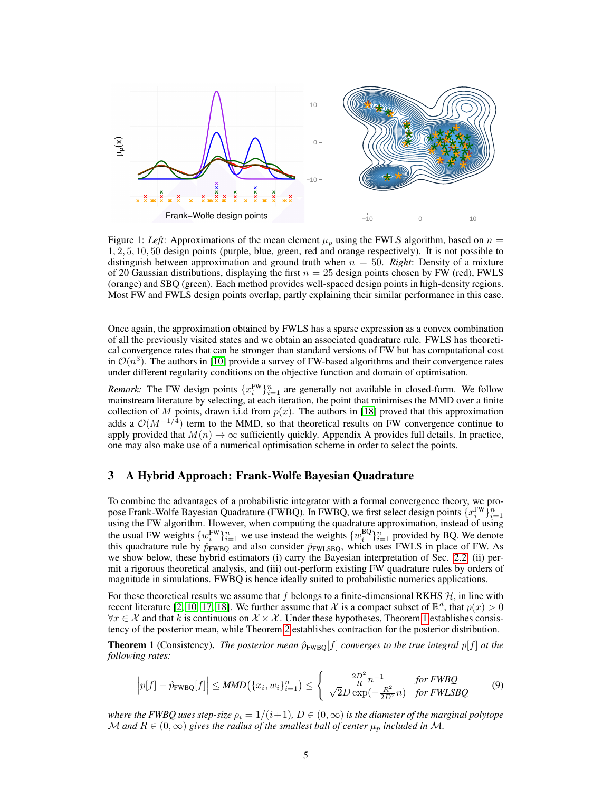

<span id="page-4-0"></span>Figure 1: *Left*: Approximations of the mean element  $\mu_p$  using the FWLS algorithm, based on  $n =$ 1, 2, 5, 10, 50 design points (purple, blue, green, red and orange respectively). It is not possible to distinguish between approximation and ground truth when  $n = 50$ . *Right*: Density of a mixture of 20 Gaussian distributions, displaying the first  $n = 25$  design points chosen by FW (red), FWLS (orange) and SBQ (green). Each method provides well-spaced design points in high-density regions. Most FW and FWLS design points overlap, partly explaining their similar performance in this case.

Once again, the approximation obtained by FWLS has a sparse expression as a convex combination of all the previously visited states and we obtain an associated quadrature rule. FWLS has theoretical convergence rates that can be stronger than standard versions of FW but has computational cost in  $\mathcal{O}(n^3)$ . The authors in [\[10\]](#page-8-21) provide a survey of FW-based algorithms and their convergence rates under different regularity conditions on the objective function and domain of optimisation.

*Remark:* The FW design points  $\{x_i^{\text{FW}}\}_{i=1}^n$  are generally not available in closed-form. We follow mainstream literature by selecting, at each iteration, the point that minimises the MMD over a finite collection of M points, drawn i.i.d from  $p(x)$ . The authors in [\[18\]](#page-8-20) proved that this approximation adds a  $\mathcal{O}(M^{-1/4})$  term to the MMD, so that theoretical results on FW convergence continue to apply provided that  $M(n) \to \infty$  sufficiently quickly. Appendix A provides full details. In practice, one may also make use of a numerical optimisation scheme in order to select the points.

# 3 A Hybrid Approach: Frank-Wolfe Bayesian Quadrature

To combine the advantages of a probabilistic integrator with a formal convergence theory, we propose Frank-Wolfe Bayesian Quadrature (FWBQ). In FWBQ, we first select design points  $\{x_i^{\text{FW}}\}_{i=1}^n$ using the FW algorithm. However, when computing the quadrature approximation, instead of using the usual FW weights  $\{w_i^{FW}\}_{i=1}^n$  we use instead the weights  $\{w_i^{BQ}\}_{i=1}^n$  provided by BQ. We denote this quadrature rule by  $\hat{p}_{FWBQ}$  and also consider  $\hat{p}_{FWLSBQ}$ , which uses FWLS in place of FW. As we show below, these hybrid estimators (i) carry the Bayesian interpretation of Sec. [2.2,](#page-2-1) (ii) permit a rigorous theoretical analysis, and (iii) out-perform existing FW quadrature rules by orders of magnitude in simulations. FWBQ is hence ideally suited to probabilistic numerics applications.

For these theoretical results we assume that f belongs to a finite-dimensional RKHS  $H$ , in line with recent literature [\[2,](#page-8-11) [10,](#page-8-21) [17,](#page-8-19) [18\]](#page-8-20). We further assume that X is a compact subset of  $\mathbb{R}^d$ , that  $p(x) > 0$  $\forall x \in \mathcal{X}$  and that k is continuous on  $\mathcal{X} \times \mathcal{X}$ . Under these hypotheses, Theorem [1](#page-4-1) establishes consistency of the posterior mean, while Theorem [2](#page-5-0) establishes contraction for the posterior distribution.

<span id="page-4-1"></span>**Theorem 1** (Consistency). *The posterior mean*  $\hat{p}_{\text{FWBO}}[f]$  *converges to the true integral*  $p[f]$  *at the following rates:*

$$
\left| p[f] - \hat{p}_{\text{FWBQ}}[f] \right| \leq MMD\left( \{x_i, w_i\}_{i=1}^n \right) \leq \left\{ \begin{array}{cc} \frac{2D^2}{R} n^{-1} & \text{for FWBQ} \\ \sqrt{2}D \exp(-\frac{R^2}{2D^2} n) & \text{for FWLSBQ} \end{array} \right. \tag{9}
$$

*where the FWBQ uses step-size*  $\rho_i = 1/(i+1)$ ,  $D \in (0,\infty)$  *is the diameter of the marginal polytope* M and  $R \in (0,\infty)$  gives the radius of the smallest ball of center  $\mu_p$  included in M.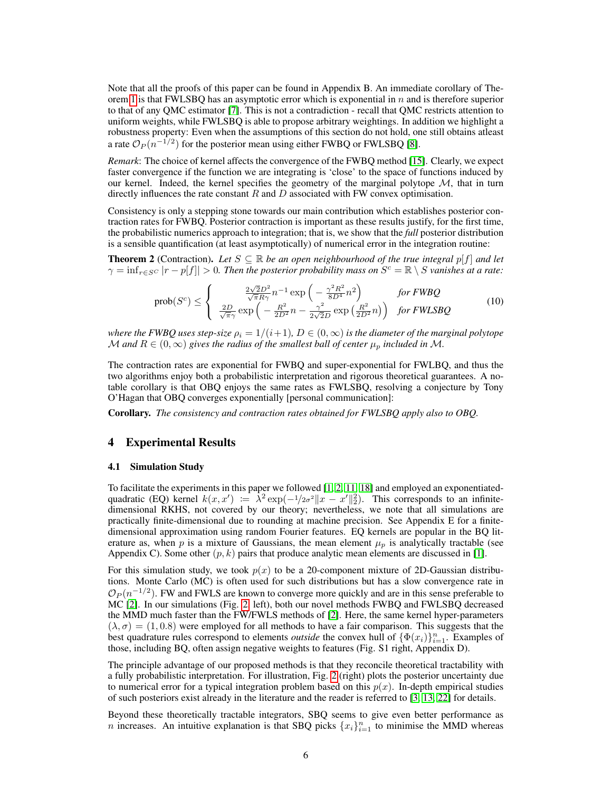Note that all the proofs of this paper can be found in Appendix B. An immediate corollary of The-orem [1](#page-4-1) is that FWLSBQ has an asymptotic error which is exponential in  $n$  and is therefore superior to that of any QMC estimator [\[7\]](#page-8-1). This is not a contradiction - recall that QMC restricts attention to uniform weights, while FWLSBQ is able to propose arbitrary weightings. In addition we highlight a robustness property: Even when the assumptions of this section do not hold, one still obtains atleast a rate  $\mathcal{O}_P(n^{-1/2})$  for the posterior mean using either FWBQ or FWLSBQ [\[8\]](#page-8-22).

*Remark*: The choice of kernel affects the convergence of the FWBQ method [\[15\]](#page-8-10). Clearly, we expect faster convergence if the function we are integrating is 'close' to the space of functions induced by our kernel. Indeed, the kernel specifies the geometry of the marginal polytope  $M$ , that in turn directly influences the rate constant  $R$  and  $D$  associated with FW convex optimisation.

Consistency is only a stepping stone towards our main contribution which establishes posterior contraction rates for FWBQ. Posterior contraction is important as these results justify, for the first time, the probabilistic numerics approach to integration; that is, we show that the *full* posterior distribution is a sensible quantification (at least asymptotically) of numerical error in the integration routine:

<span id="page-5-0"></span>**Theorem 2** (Contraction). Let  $S \subseteq \mathbb{R}$  be an open neighbourhood of the true integral  $p[f]$  and let  $\gamma = \inf_{r \in S^C} |r - p[f]| > 0$ . Then the posterior probability mass on  $S^c = \mathbb{R} \setminus S$  vanishes at a rate:

$$
\text{prob}(S^c) \leq \begin{cases} \frac{2\sqrt{2}D^2}{\sqrt{\pi}R\gamma}n^{-1}\exp\left(-\frac{\gamma^2R^2}{8D^4}n^2\right) & \text{for } FW\text{BQ} \\ \frac{2D}{\sqrt{\pi}\gamma}\exp\left(-\frac{R^2}{2D^2}n - \frac{\gamma^2}{2\sqrt{2}D}\exp\left(\frac{R^2}{2D^2}n\right)\right) & \text{for } FWLS\text{BQ} \end{cases} \tag{10}
$$

*where the FWBQ uses step-size*  $\rho_i = 1/(i+1)$ ,  $D \in (0, \infty)$  *is the diameter of the marginal polytope* M and  $R \in (0, \infty)$  gives the radius of the smallest ball of center  $\mu_p$  included in M.

The contraction rates are exponential for FWBQ and super-exponential for FWLBQ, and thus the two algorithms enjoy both a probabilistic interpretation and rigorous theoretical guarantees. A notable corollary is that OBQ enjoys the same rates as FWLSBQ, resolving a conjecture by Tony O'Hagan that OBQ converges exponentially [personal communication]:

Corollary. *The consistency and contraction rates obtained for FWLSBQ apply also to OBQ.*

# 4 Experimental Results

### 4.1 Simulation Study

To facilitate the experiments in this paper we followed  $[1, 2, 11, 18]$  $[1, 2, 11, 18]$  $[1, 2, 11, 18]$  $[1, 2, 11, 18]$  and employed an exponentiatedquadratic (EQ) kernel  $k(x, x') := \lambda^2 \exp(-\frac{1}{2\sigma^2} ||x - x'||_2^2)$ . This corresponds to an infinitedimensional RKHS, not covered by our theory; nevertheless, we note that all simulations are practically finite-dimensional due to rounding at machine precision. See Appendix E for a finitedimensional approximation using random Fourier features. EQ kernels are popular in the BQ literature as, when p is a mixture of Gaussians, the mean element  $\mu_p$  is analytically tractable (see Appendix C). Some other  $(p, k)$  pairs that produce analytic mean elements are discussed in [\[1\]](#page-8-13).

For this simulation study, we took  $p(x)$  to be a 20-component mixture of 2D-Gaussian distributions. Monte Carlo (MC) is often used for such distributions but has a slow convergence rate in  $\mathcal{O}_P(n^{-1/2})$ . FW and FWLS are known to converge more quickly and are in this sense preferable to MC [\[2\]](#page-8-11). In our simulations (Fig. [2,](#page-6-0) left), both our novel methods FWBQ and FWLSBQ decreased the MMD much faster than the FW/FWLS methods of [\[2\]](#page-8-11). Here, the same kernel hyper-parameters  $(\lambda, \sigma) = (1, 0.8)$  were employed for all methods to have a fair comparison. This suggests that the best quadrature rules correspond to elements *outside* the convex hull of  $\{\Phi(x_i)\}_{i=1}^n$ . Examples of those, including BQ, often assign negative weights to features (Fig. S1 right, Appendix D).

The principle advantage of our proposed methods is that they reconcile theoretical tractability with a fully probabilistic interpretation. For illustration, Fig. [2](#page-6-0) (right) plots the posterior uncertainty due to numerical error for a typical integration problem based on this  $p(x)$ . In-depth empirical studies of such posteriors exist already in the literature and the reader is referred to [\[3,](#page-8-3) [13,](#page-8-4) [22\]](#page-8-8) for details.

Beyond these theoretically tractable integrators, SBQ seems to give even better performance as *n* increases. An intuitive explanation is that SBQ picks  $\{x_i\}_{i=1}^n$  to minimise the MMD whereas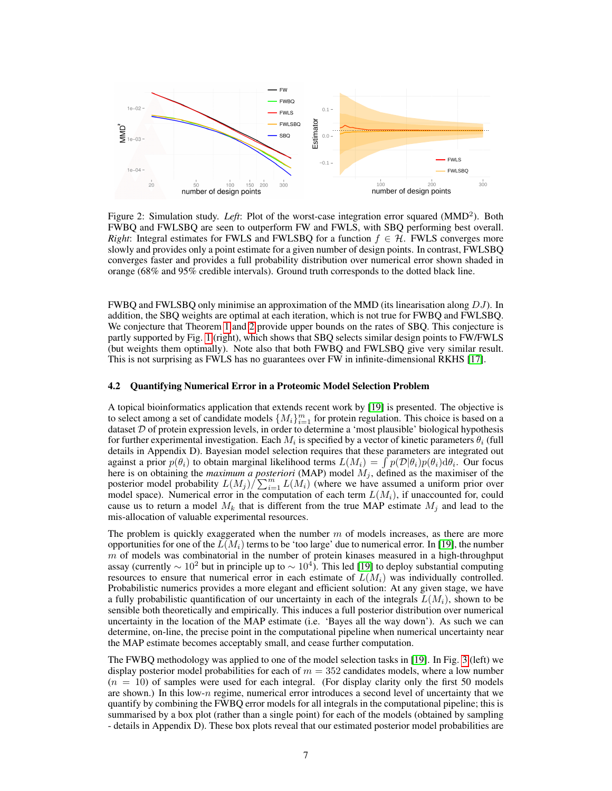

<span id="page-6-0"></span>Figure 2: Simulation study. Left: Plot of the worst-case integration error squared (MMD<sup>2</sup>). Both FWBQ and FWLSBQ are seen to outperform FW and FWLS, with SBQ performing best overall. *Right*: Integral estimates for FWLS and FWLSBQ for a function  $f \in H$ . FWLS converges more slowly and provides only a point estimate for a given number of design points. In contrast, FWLSBQ converges faster and provides a full probability distribution over numerical error shown shaded in orange (68% and 95% credible intervals). Ground truth corresponds to the dotted black line.

FWBQ and FWLSBQ only minimise an approximation of the MMD (its linearisation along DJ). In addition, the SBQ weights are optimal at each iteration, which is not true for FWBQ and FWLSBQ. We conjecture that Theorem [1](#page-4-1) and [2](#page-5-0) provide upper bounds on the rates of SBQ. This conjecture is partly supported by Fig. [1](#page-4-0) (right), which shows that SBQ selects similar design points to FW/FWLS (but weights them optimally). Note also that both FWBQ and FWLSBQ give very similar result. This is not surprising as FWLS has no guarantees over FW in infinite-dimensional RKHS [\[17\]](#page-8-19).

#### 4.2 Quantifying Numerical Error in a Proteomic Model Selection Problem

A topical bioinformatics application that extends recent work by [\[19\]](#page-8-23) is presented. The objective is to select among a set of candidate models  $\{M_i\}_{i=1}^m$  for protein regulation. This choice is based on a dataset  $D$  of protein expression levels, in order to determine a 'most plausible' biological hypothesis for further experimental investigation. Each  $M_i$  is specified by a vector of kinetic parameters  $\theta_i$  (full details in Appendix D). Bayesian model selection requires that these parameters are integrated out against a prior  $p(\theta_i)$  to obtain marginal likelihood terms  $L(M_i) = \int p(\mathcal{D}|\theta_i)p(\theta_i) d\theta_i$ . Our focus here is on obtaining the *maximum a posteriori* (MAP) model  $M_i$ , defined as the maximiser of the posterior model probability  $L(M_j)/\sum_{i=1}^m L(M_i)$  (where we have assumed a uniform prior over model space). Numerical error in the computation of each term  $L(M_i)$ , if unaccounted for, could cause us to return a model  $M_k$  that is different from the true MAP estimate  $M_j$  and lead to the mis-allocation of valuable experimental resources.

The problem is quickly exaggerated when the number  $m$  of models increases, as there are more opportunities for one of the  $L(M_i)$  terms to be 'too large' due to numerical error. In [\[19\]](#page-8-23), the number  $m$  of models was combinatorial in the number of protein kinases measured in a high-throughput assay (currently  $\sim 10^2$  but in principle up to  $\sim 10^4$ ). This led [\[19\]](#page-8-23) to deploy substantial computing resources to ensure that numerical error in each estimate of  $L(M_i)$  was individually controlled. Probabilistic numerics provides a more elegant and efficient solution: At any given stage, we have a fully probabilistic quantification of our uncertainty in each of the integrals  $L(M_i)$ , shown to be sensible both theoretically and empirically. This induces a full posterior distribution over numerical uncertainty in the location of the MAP estimate (i.e. 'Bayes all the way down'). As such we can determine, on-line, the precise point in the computational pipeline when numerical uncertainty near the MAP estimate becomes acceptably small, and cease further computation.

The FWBQ methodology was applied to one of the model selection tasks in [\[19\]](#page-8-23). In Fig. [3](#page-7-0) (left) we display posterior model probabilities for each of  $m = 352$  candidates models, where a low number  $(n = 10)$  of samples were used for each integral. (For display clarity only the first 50 models are shown.) In this low- $n$  regime, numerical error introduces a second level of uncertainty that we quantify by combining the FWBQ error models for all integrals in the computational pipeline; this is summarised by a box plot (rather than a single point) for each of the models (obtained by sampling - details in Appendix D). These box plots reveal that our estimated posterior model probabilities are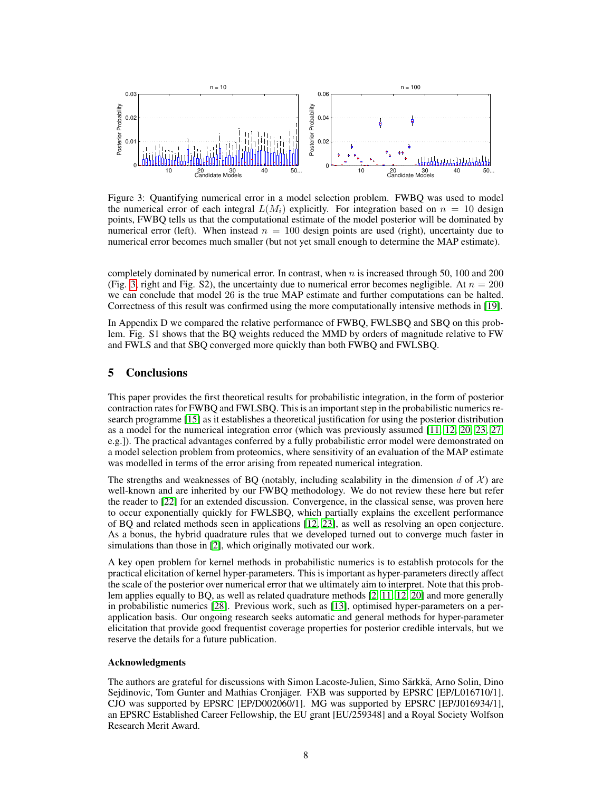

<span id="page-7-0"></span>Figure 3: Quantifying numerical error in a model selection problem. FWBQ was used to model the numerical error of each integral  $L(M_i)$  explicitly. For integration based on  $n = 10$  design points, FWBQ tells us that the computational estimate of the model posterior will be dominated by numerical error (left). When instead  $n = 100$  design points are used (right), uncertainty due to numerical error becomes much smaller (but not yet small enough to determine the MAP estimate).

completely dominated by numerical error. In contrast, when  $n$  is increased through 50, 100 and 200 (Fig. [3,](#page-7-0) right and Fig. S2), the uncertainty due to numerical error becomes negligible. At  $n = 200$ we can conclude that model 26 is the true MAP estimate and further computations can be halted. Correctness of this result was confirmed using the more computationally intensive methods in [\[19\]](#page-8-23).

In Appendix D we compared the relative performance of FWBQ, FWLSBQ and SBQ on this problem. Fig. S1 shows that the BQ weights reduced the MMD by orders of magnitude relative to FW and FWLS and that SBQ converged more quickly than both FWBQ and FWLSBQ.

# 5 Conclusions

This paper provides the first theoretical results for probabilistic integration, in the form of posterior contraction rates for FWBQ and FWLSBQ. This is an important step in the probabilistic numerics research programme [\[15\]](#page-8-10) as it establishes a theoretical justification for using the posterior distribution as a model for the numerical integration error (which was previously assumed [\[11,](#page-8-14) [12,](#page-8-15) [20,](#page-8-9) [23,](#page-8-16) [27,](#page-9-2) e.g.]). The practical advantages conferred by a fully probabilistic error model were demonstrated on a model selection problem from proteomics, where sensitivity of an evaluation of the MAP estimate was modelled in terms of the error arising from repeated numerical integration.

The strengths and weaknesses of BQ (notably, including scalability in the dimension d of  $\mathcal{X}$ ) are well-known and are inherited by our FWBQ methodology. We do not review these here but refer the reader to [\[22\]](#page-8-8) for an extended discussion. Convergence, in the classical sense, was proven here to occur exponentially quickly for FWLSBQ, which partially explains the excellent performance of BQ and related methods seen in applications [\[12,](#page-8-15) [23\]](#page-8-16), as well as resolving an open conjecture. As a bonus, the hybrid quadrature rules that we developed turned out to converge much faster in simulations than those in [\[2\]](#page-8-11), which originally motivated our work.

A key open problem for kernel methods in probabilistic numerics is to establish protocols for the practical elicitation of kernel hyper-parameters. This is important as hyper-parameters directly affect the scale of the posterior over numerical error that we ultimately aim to interpret. Note that this problem applies equally to BQ, as well as related quadrature methods [\[2,](#page-8-11) [11,](#page-8-14) [12,](#page-8-15) [20\]](#page-8-9) and more generally in probabilistic numerics [\[28\]](#page-9-0). Previous work, such as [\[13\]](#page-8-4), optimised hyper-parameters on a perapplication basis. Our ongoing research seeks automatic and general methods for hyper-parameter elicitation that provide good frequentist coverage properties for posterior credible intervals, but we reserve the details for a future publication.

## Acknowledgments

The authors are grateful for discussions with Simon Lacoste-Julien, Simo Särkkä, Arno Solin, Dino Sejdinovic, Tom Gunter and Mathias Cronjäger. FXB was supported by EPSRC [EP/L016710/1]. CJO was supported by EPSRC [EP/D002060/1]. MG was supported by EPSRC [EP/J016934/1], an EPSRC Established Career Fellowship, the EU grant [EU/259348] and a Royal Society Wolfson Research Merit Award.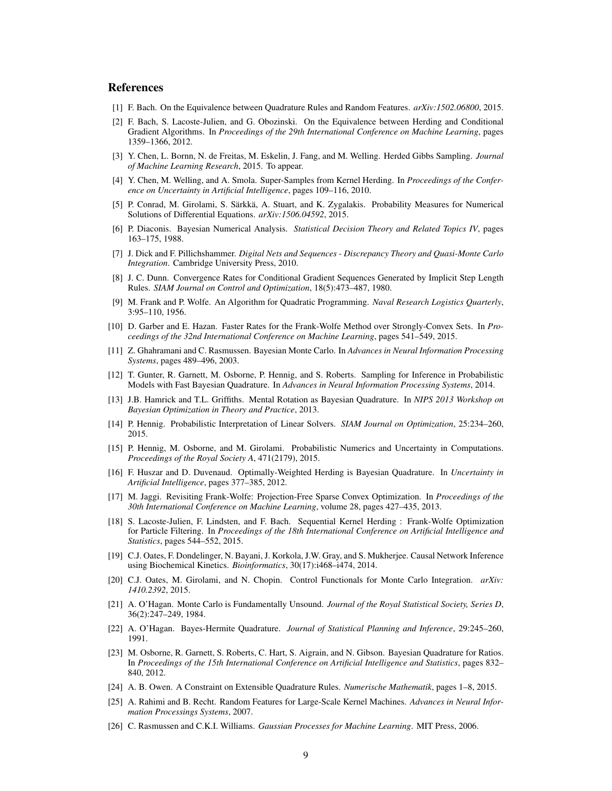# References

- <span id="page-8-13"></span>[1] F. Bach. On the Equivalence between Quadrature Rules and Random Features. *arXiv:1502.06800*, 2015.
- <span id="page-8-11"></span>[2] F. Bach, S. Lacoste-Julien, and G. Obozinski. On the Equivalence between Herding and Conditional Gradient Algorithms. In *Proceedings of the 29th International Conference on Machine Learning*, pages 1359–1366, 2012.
- <span id="page-8-3"></span>[3] Y. Chen, L. Bornn, N. de Freitas, M. Eskelin, J. Fang, and M. Welling. Herded Gibbs Sampling. *Journal of Machine Learning Research*, 2015. To appear.
- <span id="page-8-12"></span>[4] Y. Chen, M. Welling, and A. Smola. Super-Samples from Kernel Herding. In *Proceedings of the Conference on Uncertainty in Artificial Intelligence*, pages 109–116, 2010.
- <span id="page-8-7"></span>[5] P. Conrad, M. Girolami, S. Särkkä, A. Stuart, and K. Zygalakis. Probability Measures for Numerical Solutions of Differential Equations. *arXiv:1506.04592*, 2015.
- <span id="page-8-5"></span>[6] P. Diaconis. Bayesian Numerical Analysis. *Statistical Decision Theory and Related Topics IV*, pages 163–175, 1988.
- <span id="page-8-1"></span>[7] J. Dick and F. Pillichshammer. *Digital Nets and Sequences - Discrepancy Theory and Quasi-Monte Carlo Integration*. Cambridge University Press, 2010.
- <span id="page-8-22"></span>[8] J. C. Dunn. Convergence Rates for Conditional Gradient Sequences Generated by Implicit Step Length Rules. *SIAM Journal on Control and Optimization*, 18(5):473–487, 1980.
- <span id="page-8-18"></span>[9] M. Frank and P. Wolfe. An Algorithm for Quadratic Programming. *Naval Research Logistics Quarterly*, 3:95–110, 1956.
- <span id="page-8-21"></span>[10] D. Garber and E. Hazan. Faster Rates for the Frank-Wolfe Method over Strongly-Convex Sets. In *Proceedings of the 32nd International Conference on Machine Learning*, pages 541–549, 2015.
- <span id="page-8-14"></span>[11] Z. Ghahramani and C. Rasmussen. Bayesian Monte Carlo. In *Advances in Neural Information Processing Systems*, pages 489–496, 2003.
- <span id="page-8-15"></span>[12] T. Gunter, R. Garnett, M. Osborne, P. Hennig, and S. Roberts. Sampling for Inference in Probabilistic Models with Fast Bayesian Quadrature. In *Advances in Neural Information Processing Systems*, 2014.
- <span id="page-8-4"></span>[13] J.B. Hamrick and T.L. Griffiths. Mental Rotation as Bayesian Quadrature. In *NIPS 2013 Workshop on Bayesian Optimization in Theory and Practice*, 2013.
- <span id="page-8-6"></span>[14] P. Hennig. Probabilistic Interpretation of Linear Solvers. *SIAM Journal on Optimization*, 25:234–260, 2015.
- <span id="page-8-10"></span>[15] P. Hennig, M. Osborne, and M. Girolami. Probabilistic Numerics and Uncertainty in Computations. *Proceedings of the Royal Society A*, 471(2179), 2015.
- <span id="page-8-17"></span>[16] F. Huszar and D. Duvenaud. Optimally-Weighted Herding is Bayesian Quadrature. In *Uncertainty in Artificial Intelligence*, pages 377–385, 2012.
- <span id="page-8-19"></span>[17] M. Jaggi. Revisiting Frank-Wolfe: Projection-Free Sparse Convex Optimization. In *Proceedings of the 30th International Conference on Machine Learning*, volume 28, pages 427–435, 2013.
- <span id="page-8-20"></span>[18] S. Lacoste-Julien, F. Lindsten, and F. Bach. Sequential Kernel Herding : Frank-Wolfe Optimization for Particle Filtering. In *Proceedings of the 18th International Conference on Artificial Intelligence and Statistics*, pages 544–552, 2015.
- <span id="page-8-23"></span>[19] C.J. Oates, F. Dondelinger, N. Bayani, J. Korkola, J.W. Gray, and S. Mukherjee. Causal Network Inference using Biochemical Kinetics. *Bioinformatics*, 30(17):i468–i474, 2014.
- <span id="page-8-9"></span>[20] C.J. Oates, M. Girolami, and N. Chopin. Control Functionals for Monte Carlo Integration. *arXiv: 1410.2392*, 2015.
- <span id="page-8-0"></span>[21] A. O'Hagan. Monte Carlo is Fundamentally Unsound. *Journal of the Royal Statistical Society, Series D*, 36(2):247–249, 1984.
- <span id="page-8-8"></span>[22] A. O'Hagan. Bayes-Hermite Quadrature. *Journal of Statistical Planning and Inference*, 29:245–260, 1991.
- <span id="page-8-16"></span>[23] M. Osborne, R. Garnett, S. Roberts, C. Hart, S. Aigrain, and N. Gibson. Bayesian Quadrature for Ratios. In *Proceedings of the 15th International Conference on Artificial Intelligence and Statistics*, pages 832– 840, 2012.
- <span id="page-8-2"></span>[24] A. B. Owen. A Constraint on Extensible Quadrature Rules. *Numerische Mathematik*, pages 1–8, 2015.
- <span id="page-8-25"></span>[25] A. Rahimi and B. Recht. Random Features for Large-Scale Kernel Machines. *Advances in Neural Information Processings Systems*, 2007.
- <span id="page-8-24"></span>[26] C. Rasmussen and C.K.I. Williams. *Gaussian Processes for Machine Learning*. MIT Press, 2006.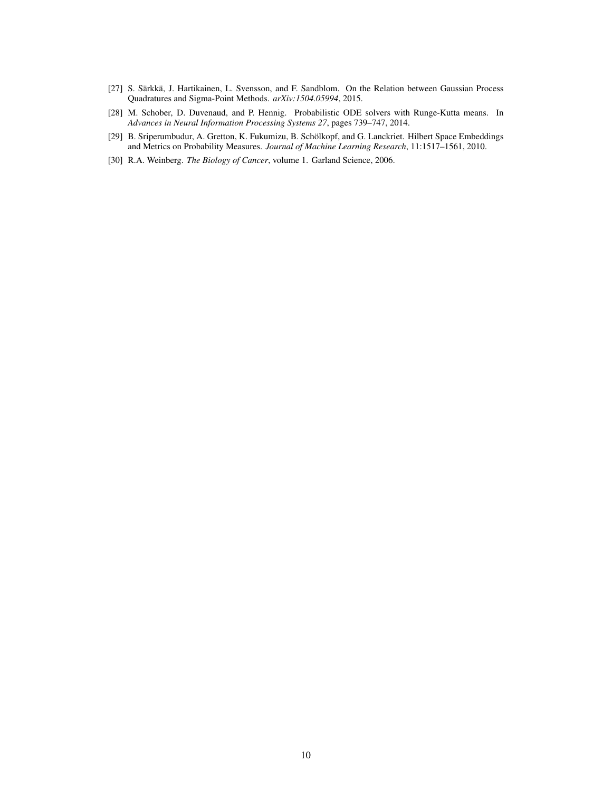- <span id="page-9-2"></span>[27] S. Särkkä, J. Hartikainen, L. Svensson, and F. Sandblom. On the Relation between Gaussian Process Quadratures and Sigma-Point Methods. *arXiv:1504.05994*, 2015.
- <span id="page-9-0"></span>[28] M. Schober, D. Duvenaud, and P. Hennig. Probabilistic ODE solvers with Runge-Kutta means. In *Advances in Neural Information Processing Systems 27*, pages 739–747, 2014.
- <span id="page-9-1"></span>[29] B. Sriperumbudur, A. Gretton, K. Fukumizu, B. Schölkopf, and G. Lanckriet. Hilbert Space Embeddings and Metrics on Probability Measures. *Journal of Machine Learning Research*, 11:1517–1561, 2010.
- <span id="page-9-3"></span>[30] R.A. Weinberg. *The Biology of Cancer*, volume 1. Garland Science, 2006.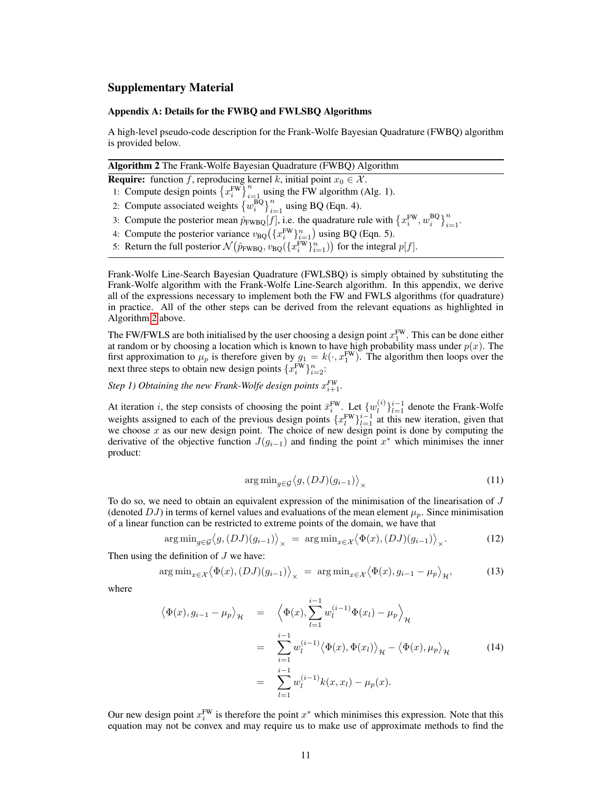# Supplementary Material

### Appendix A: Details for the FWBQ and FWLSBQ Algorithms

A high-level pseudo-code description for the Frank-Wolfe Bayesian Quadrature (FWBQ) algorithm is provided below.

<span id="page-10-0"></span>

|  |  | Algorithm 2 The Frank-Wolfe Bayesian Quadrature (FWBQ) Algorithm |  |  |  |  |  |  |
|--|--|------------------------------------------------------------------|--|--|--|--|--|--|
|  |  |                                                                  |  |  |  |  |  |  |

- **Require:** function f, reproducing kernel k, initial point  $x_0 \in \mathcal{X}$ .
- 1: Compute design points  $\left\{x_i^{\text{FW}}\right\}_{i=1}^n$  using the FW algorithm (Alg. 1).
- 2: Compute associated weights  $\left\{w_i^{\text{BQ}}\right\}_{i=1}^n$  using BQ (Eqn. 4).
- 3: Compute the posterior mean  $\hat{p}_{FWBQ}[f]$ , i.e. the quadrature rule with  $\{x_i^{FW}, w_i^{BQ}\}_{i=1}^n$ .
- 4: Compute the posterior variance  $v_{\text{BQ}}(\lbrace x_i^{\text{FW}} \rbrace_{i=1}^n)$  using BQ (Eqn. 5).
- 5: Return the full posterior  $\mathcal{N}(\hat{p}_{FWBQ}, v_{BQ}(\lbrace x_i^{FW} \rbrace_{i=1}^n))$  for the integral  $p[f]$ .

Frank-Wolfe Line-Search Bayesian Quadrature (FWLSBQ) is simply obtained by substituting the Frank-Wolfe algorithm with the Frank-Wolfe Line-Search algorithm. In this appendix, we derive all of the expressions necessary to implement both the FW and FWLS algorithms (for quadrature) in practice. All of the other steps can be derived from the relevant equations as highlighted in Algorithm [2](#page-10-0) above.

The FW/FWLS are both initialised by the user choosing a design point  $x_1^{\text{FW}}$ . This can be done either at random or by choosing a location which is known to have high probability mass under  $p(x)$ . The first approximation to  $\mu_p$  is therefore given by  $g_1 = k(\cdot, x_1^{\text{FW}})$ . The algorithm then loops over the next three steps to obtain new design points  $\{x_i^{\text{FW}}\}_{i=2}^n$ :

*Step 1) Obtaining the new Frank-Wolfe design points*  $x_{i+1}^{FW}$ .

At iteration *i*, the step consists of choosing the point  $\bar{x}_i^{\text{FW}}$ . Let  $\{w_l^{(i)}\}$  $\binom{i}{l}\}_{l=1}^{i-1}$  denote the Frank-Wolfe weights assigned to each of the previous design points  $\{x_i^{FW}\}_{i=1}^{i-1}$  at this new iteration, given that we choose  $x$  as our new design point. The choice of new design point is done by computing the derivative of the objective function  $J(g_{i-1})$  and finding the point  $x^*$  which minimises the inner product:

$$
\arg\min_{g \in \mathcal{G}} \langle g, (DJ)(g_{i-1}) \rangle_{\times} \tag{11}
$$

To do so, we need to obtain an equivalent expression of the minimisation of the linearisation of J (denoted  $DJ$ ) in terms of kernel values and evaluations of the mean element  $\mu_p$ . Since minimisation of a linear function can be restricted to extreme points of the domain, we have that

$$
\arg\min_{g\in\mathcal{G}} \langle g, (DJ)(g_{i-1}) \rangle_{\times} = \arg\min_{x\in\mathcal{X}} \langle \Phi(x), (DJ)(g_{i-1}) \rangle_{\times}.
$$
 (12)

Then using the definition of  $J$  we have:

$$
\arg\min_{x\in\mathcal{X}} \langle \Phi(x), (DJ)(g_{i-1}) \rangle_{\times} = \arg\min_{x\in\mathcal{X}} \langle \Phi(x), g_{i-1} - \mu_p \rangle_{\mathcal{H}},\tag{13}
$$

where

$$
\langle \Phi(x), g_{i-1} - \mu_p \rangle_{\mathcal{H}} = \langle \Phi(x), \sum_{l=1}^{i-1} w_l^{(i-1)} \Phi(x_l) - \mu_p \rangle_{\mathcal{H}}
$$
  

$$
= \sum_{i=1}^{i-1} w_l^{(i-1)} \langle \Phi(x), \Phi(x_l) \rangle_{\mathcal{H}} - \langle \Phi(x), \mu_p \rangle_{\mathcal{H}}
$$
(14)  

$$
= \sum_{l=1}^{i-1} w_l^{(i-1)} k(x, x_l) - \mu_p(x).
$$

Our new design point  $x_i^{\text{FW}}$  is therefore the point  $x^*$  which minimises this expression. Note that this equation may not be convex and may require us to make use of approximate methods to find the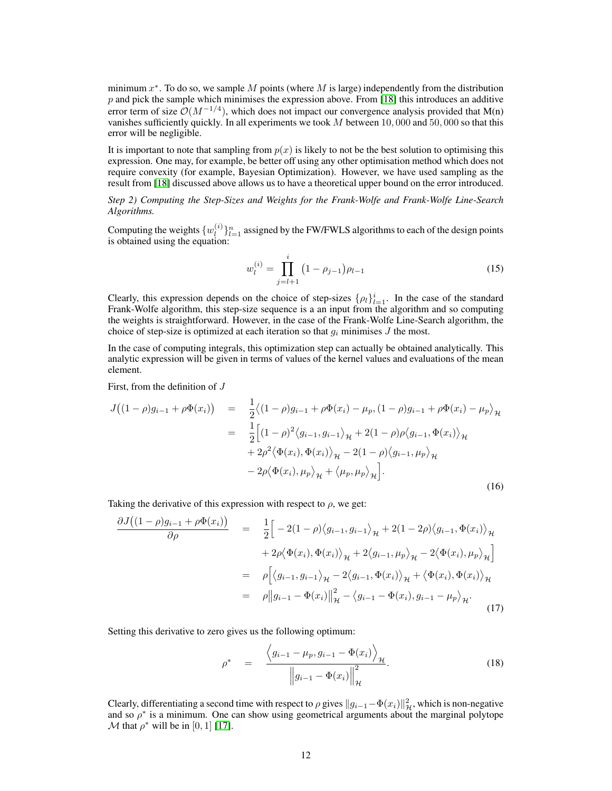minimum  $x^*$ . To do so, we sample M points (where M is large) independently from the distribution  $p$  and pick the sample which minimises the expression above. From [\[18\]](#page-8-20) this introduces an additive error term of size  $\mathcal{O}(M^{-1/4})$ , which does not impact our convergence analysis provided that M(n) vanishes sufficiently quickly. In all experiments we took  $M$  between 10, 000 and 50, 000 so that this error will be negligible.

It is important to note that sampling from  $p(x)$  is likely to not be the best solution to optimising this expression. One may, for example, be better off using any other optimisation method which does not require convexity (for example, Bayesian Optimization). However, we have used sampling as the result from [\[18\]](#page-8-20) discussed above allows us to have a theoretical upper bound on the error introduced.

*Step 2) Computing the Step-Sizes and Weights for the Frank-Wolfe and Frank-Wolfe Line-Search Algorithms.*

Computing the weights  $\{w_i^{(i)}\}$  $\binom{1}{l}_{l=1}^n$  assigned by the FW/FWLS algorithms to each of the design points is obtained using the equation:

$$
w_l^{(i)} = \prod_{j=l+1}^i (1 - \rho_{j-1}) \rho_{l-1}
$$
 (15)

Clearly, this expression depends on the choice of step-sizes  $\{\rho_l\}_{l=1}^i$ . In the case of the standard Frank-Wolfe algorithm, this step-size sequence is a an input from the algorithm and so computing the weights is straightforward. However, in the case of the Frank-Wolfe Line-Search algorithm, the choice of step-size is optimized at each iteration so that  $q_i$  minimises J the most.

In the case of computing integrals, this optimization step can actually be obtained analytically. This analytic expression will be given in terms of values of the kernel values and evaluations of the mean element.

First, from the definition of J

$$
J((1 - \rho)g_{i-1} + \rho \Phi(x_i)) = \frac{1}{2} \langle (1 - \rho)g_{i-1} + \rho \Phi(x_i) - \mu_p, (1 - \rho)g_{i-1} + \rho \Phi(x_i) - \mu_p \rangle_{\mathcal{H}}
$$
  
\n
$$
= \frac{1}{2} \Big[ (1 - \rho)^2 \langle g_{i-1}, g_{i-1} \rangle_{\mathcal{H}} + 2(1 - \rho) \rho \langle g_{i-1}, \Phi(x_i) \rangle_{\mathcal{H}}
$$
  
\n
$$
+ 2\rho^2 \langle \Phi(x_i), \Phi(x_i) \rangle_{\mathcal{H}} - 2(1 - \rho) \langle g_{i-1}, \mu_p \rangle_{\mathcal{H}}
$$
  
\n
$$
- 2\rho \langle \Phi(x_i), \mu_p \rangle_{\mathcal{H}} + \langle \mu_p, \mu_p \rangle_{\mathcal{H}} \Big].
$$
\n(16)

Taking the derivative of this expression with respect to  $\rho$ , we get:

$$
\frac{\partial J((1-\rho)g_{i-1}+\rho\Phi(x_i))}{\partial \rho} = \frac{1}{2}\Big[-2(1-\rho)\langle g_{i-1}, g_{i-1}\rangle_{\mathcal{H}} + 2(1-2\rho)\langle g_{i-1}, \Phi(x_i)\rangle_{\mathcal{H}} \n+ 2\rho\langle\Phi(x_i), \Phi(x_i)\rangle_{\mathcal{H}} + 2\langle g_{i-1}, \mu_p\rangle_{\mathcal{H}} - 2\langle\Phi(x_i), \mu_p\rangle_{\mathcal{H}}\Big] \n= \rho\Big[\langle g_{i-1}, g_{i-1}\rangle_{\mathcal{H}} - 2\langle g_{i-1}, \Phi(x_i)\rangle_{\mathcal{H}} + \langle\Phi(x_i), \Phi(x_i)\rangle_{\mathcal{H}} \n= \rho\big||g_{i-1} - \Phi(x_i)\big||_{\mathcal{H}}^2 - \langle g_{i-1} - \Phi(x_i), g_{i-1} - \mu_p\rangle_{\mathcal{H}}.
$$
\n(17)

Setting this derivative to zero gives us the following optimum:

$$
\rho^* = \frac{\left\langle g_{i-1} - \mu_p, g_{i-1} - \Phi(x_i) \right\rangle_{\mathcal{H}}}{\left\| g_{i-1} - \Phi(x_i) \right\|_{\mathcal{H}}^2}.
$$
\n(18)

Clearly, differentiating a second time with respect to  $\rho$  gives  $||g_{i-1}-\Phi(x_i)||_{\mathcal{H}}^2$ , which is non-negative and so  $\rho^*$  is a minimum. One can show using geometrical arguments about the marginal polytope M that  $\rho^*$  will be in [0, 1] [\[17\]](#page-8-19).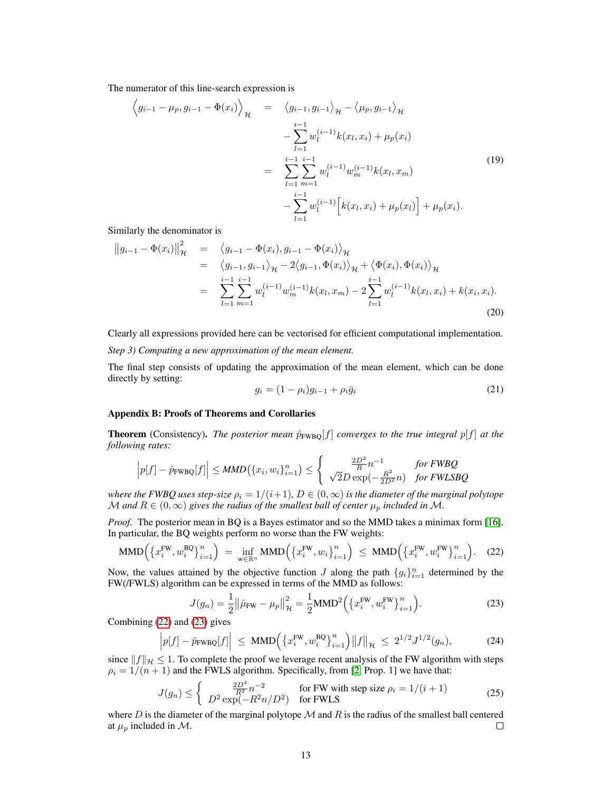The numerator of this line-search expression is

$$
\left\langle g_{i-1} - \mu_p, g_{i-1} - \Phi(x_i) \right\rangle_{\mathcal{H}} = \left\langle g_{i-1}, g_{i-1} \right\rangle_{\mathcal{H}} - \left\langle \mu_p, g_{i-1} \right\rangle_{\mathcal{H}} \n- \sum_{l=1}^{i-1} w_l^{(i-1)} k(x_l, x_i) + \mu_p(x_i) \n= \sum_{l=1}^{i-1} \sum_{m=1}^{i-1} w_l^{(i-1)} w_m^{(i-1)} k(x_l, x_m) \n- \sum_{l=1}^{i-1} w_l^{(i-1)} \left[ k(x_l, x_i) + \mu_p(x_l) \right] + \mu_p(x_i).
$$
\n(19)

Similarly the denominator is

$$
\|g_{i-1} - \Phi(x_i)\|_{\mathcal{H}}^2 = \langle g_{i-1} - \Phi(x_i), g_{i-1} - \Phi(x_i) \rangle_{\mathcal{H}} \n= \langle g_{i-1}, g_{i-1} \rangle_{\mathcal{H}} - 2 \langle g_{i-1}, \Phi(x_i) \rangle_{\mathcal{H}} + \langle \Phi(x_i), \Phi(x_i) \rangle_{\mathcal{H}} \n= \sum_{l=1}^{i-1} \sum_{m=1}^{i-1} w_l^{(i-1)} w_m^{(i-1)} k(x_l, x_m) - 2 \sum_{l=1}^{i-1} w_l^{(i-1)} k(x_l, x_i) + k(x_i, x_i).
$$
\n(20)

Clearly all expressions provided here can be vectorised for efficient computational implementation. *Step 3) Computing a new approximation of the mean element.*

The final step consists of updating the approximation of the mean element, which can be done directly by setting:

$$
g_i = (1 - \rho_i)g_{i-1} + \rho_i \bar{g}_i \tag{21}
$$

## Appendix B: Proofs of Theorems and Corollaries

**Theorem** (Consistency). *The posterior mean*  $\hat{p}_{\text{FWBO}}[f]$  *converges to the true integral*  $p[f]$  *at the following rates:*

$$
\left| p[f] - \hat{p}_{\text{FWBQ}}[f] \right| \leq MMD\left( \{x_i, w_i\}_{i=1}^n \right) \leq \left\{ \begin{array}{cc} \frac{2D^2}{R} n^{-1} & \text{for FWBQ} \\ \sqrt{2}D \exp(-\frac{R^2}{2D^2} n) & \text{for FWLSBQ} \end{array} \right.
$$

*where the FWBQ uses step-size*  $\rho_i = 1/(i+1)$ ,  $D \in (0,\infty)$  *is the diameter of the marginal polytope* M and  $R \in (0, \infty)$  gives the radius of the smallest ball of center  $\mu_p$  included in M.

*Proof.* The posterior mean in BQ is a Bayes estimator and so the MMD takes a minimax form [\[16\]](#page-8-17). In particular, the BQ weights perform no worse than the FW weights:

<span id="page-12-0"></span>
$$
\text{MMD}\Big(\big\{x_i^{\text{FW}}, w_i^{\text{BQ}}\big\}_{i=1}^n\Big) \ = \ \inf_{w \in \mathbb{R}^n} \text{MMD}\Big(\big\{x_i^{\text{FW}}, w_i\big\}_{i=1}^n\Big) \ \le \ \text{MMD}\Big(\big\{x_i^{\text{FW}}, w_i^{\text{FW}}\big\}_{i=1}^n\Big). \tag{22}
$$

Now, the values attained by the objective function J along the path  ${g_i}_{i=1}^n$  determined by the FW(/FWLS) algorithm can be expressed in terms of the MMD as follows:

<span id="page-12-1"></span>
$$
J(g_n) = \frac{1}{2} ||\hat{\mu}_{\text{FW}} - \mu_p||_{{\mathcal{H}}}^2 = \frac{1}{2} \text{MMD}^2 \left( \left\{ x_i^{\text{FW}}, w_i^{\text{FW}} \right\}_{i=1}^n \right). \tag{23}
$$

Combining [\(22\)](#page-12-0) and [\(23\)](#page-12-1) gives

$$
\left| p[f] - \hat{p}_{\text{FWBQ}}[f] \right| \le \text{MMD} \left( \left\{ x_i^{\text{FW}}, w_i^{\text{BQ}} \right\}_{i=1}^n \right) \left\| f \right\|_{\mathcal{H}} \le 2^{1/2} J^{1/2}(g_n), \tag{24}
$$

since  $||f||_{\mathcal{H}} \leq 1$ . To complete the proof we leverage recent analysis of the FW algorithm with steps  $\rho_i = 1/(n+1)$  and the FWLS algorithm. Specifically, from [\[2,](#page-8-11) Prop. 1] we have that:

$$
J(g_n) \le \begin{cases} \frac{2D^4}{R^2} n^{-2} & \text{for FW with step size } \rho_i = 1/(i+1) \\ D^2 \exp(-R^2 n/D^2) & \text{for FWLS} \end{cases}
$$
(25)

where  $D$  is the diameter of the marginal polytope  $M$  and  $R$  is the radius of the smallest ball centered at  $\mu_p$  included in M.  $\Box$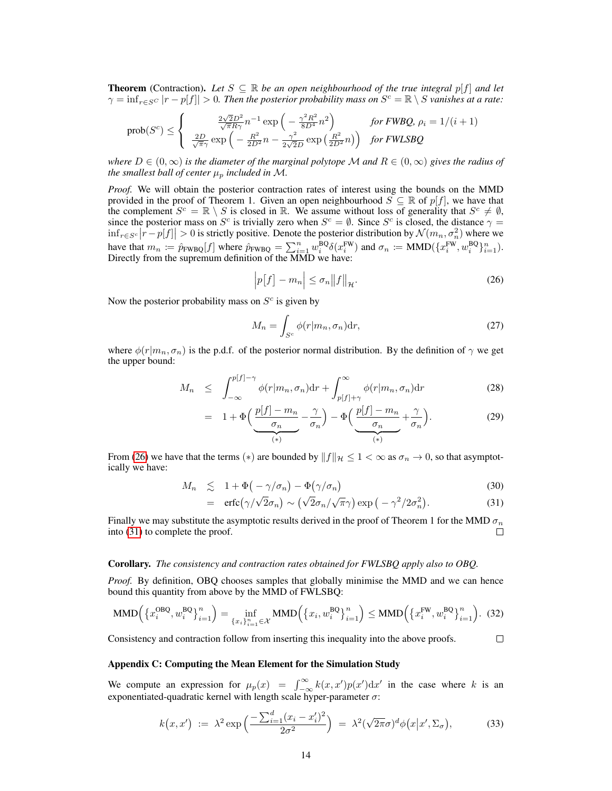**Theorem** (Contraction). Let  $S \subseteq \mathbb{R}$  be an open neighbourhood of the true integral  $p[f]$  and let  $\gamma = \inf_{r \in S^C} |r - p[f]| > 0$ . Then the posterior probability mass on  $S^c = \mathbb{R} \setminus S$  vanishes at a rate:

$$
\text{prob}(S^c) \leq \left\{ \begin{array}{cc} \frac{2\sqrt{2}D^2}{\sqrt{\pi}R\gamma}n^{-1}\exp\left(-\frac{\gamma^2R^2}{8D^4}n^2\right) & \text{for FWBQ, } \rho_i = 1/(i+1) \\ \frac{2D}{\sqrt{\pi}\gamma}\exp\left(-\frac{R^2}{2D^2}n - \frac{\gamma^2}{2\sqrt{2}D}\exp\left(\frac{R^2}{2D^2}n\right)\right) & \text{for FWLSBQ} \end{array} \right.
$$

*where*  $D \in (0,\infty)$  *is the diameter of the marginal polytope* M *and*  $R \in (0,\infty)$  *gives the radius of the smallest ball of center*  $\mu_p$  *included in* M.

*Proof.* We will obtain the posterior contraction rates of interest using the bounds on the MMD provided in the proof of Theorem 1. Given an open neighbourhood  $S \subseteq \mathbb{R}$  of  $p[f]$ , we have that the complement  $S^c = \mathbb{R} \setminus S$  is closed in  $\mathbb{R}$ . We assume without loss of generality that  $S^c \neq \emptyset$ , since the posterior mass on  $S^c$  is trivially zero when  $S^c = \emptyset$ . Since  $S^c$  is closed, the distance  $\gamma =$  $\inf_{r \in S^c} |r - p[f]| > 0$  is strictly positive. Denote the posterior distribution by  $\mathcal{N}(m_n, \sigma_n^2)$  where we have that  $m_n := \hat{p}_{FWBQ}[f]$  where  $\hat{p}_{FWBQ} = \sum_{i=1}^n w_i^{BQ} \delta(x_i^{FW})$  and  $\sigma_n := \text{MMD}(\{x_i^{FW}, w_i^{BQ}\}_{i=1}^n)$ . Directly from the supremum definition of the MMD we have:

<span id="page-13-0"></span>
$$
\left| p[f] - m_n \right| \le \sigma_n \|f\|_{\mathcal{H}}.
$$
\n(26)

Now the posterior probability mass on  $S<sup>c</sup>$  is given by

$$
M_n = \int_{S^c} \phi(r|m_n, \sigma_n) \mathrm{d}r,\tag{27}
$$

where  $\phi(r|m_n, \sigma_n)$  is the p.d.f. of the posterior normal distribution. By the definition of  $\gamma$  we get the upper bound:

$$
M_n \leq \int_{-\infty}^{p[f]-\gamma} \phi(r|m_n, \sigma_n) dr + \int_{p[f]+\gamma}^{\infty} \phi(r|m_n, \sigma_n) dr \qquad (28)
$$

$$
= 1 + \Phi\left(\underbrace{\frac{p[f] - m_n}{\sigma_n}}_{(*)} - \frac{\gamma}{\sigma_n}\right) - \Phi\left(\underbrace{\frac{p[f] - m_n}{\sigma_n}}_{(*)} + \frac{\gamma}{\sigma_n}\right). \tag{29}
$$

From [\(26\)](#page-13-0) we have that the terms ( $*$ ) are bounded by  $||f||_{\mathcal{H}} \leq 1 < \infty$  as  $\sigma_n \to 0$ , so that asymptotically we have:

<span id="page-13-1"></span>
$$
M_n \leq 1 + \Phi(-\gamma/\sigma_n) - \Phi(\gamma/\sigma_n) \tag{30}
$$

$$
= \operatorname{erfc}(\gamma/\sqrt{2}\sigma_n) \sim (\sqrt{2}\sigma_n/\sqrt{\pi}\gamma) \exp(-\gamma^2/2\sigma_n^2). \tag{31}
$$

Finally we may substitute the asymptotic results derived in the proof of Theorem 1 for the MMD  $\sigma_n$ into [\(31\)](#page-13-1) to complete the proof.  $\Box$ 

#### Corollary. *The consistency and contraction rates obtained for FWLSBQ apply also to OBQ.*

*Proof.* By definition, OBQ chooses samples that globally minimise the MMD and we can hence bound this quantity from above by the MMD of FWLSBQ:

$$
\text{MMD}\left(\left\{x_i^{\text{OBQ}}, w_i^{\text{BQ}}\right\}_{i=1}^n\right) = \inf_{\left\{x_i\right\}_{i=1}^n \in \mathcal{X}} \text{MMD}\left(\left\{x_i, w_i^{\text{BQ}}\right\}_{i=1}^n\right) \le \text{MMD}\left(\left\{x_i^{\text{FW}}, w_i^{\text{BQ}}\right\}_{i=1}^n\right). (32)
$$

Consistency and contraction follow from inserting this inequality into the above proofs.  $\Box$ 

#### Appendix C: Computing the Mean Element for the Simulation Study

We compute an expression for  $\mu_p(x) = \int_{-\infty}^{\infty} k(x, x') p(x') dx'$  in the case where k is an exponentiated-quadratic kernel with length scale hyper-parameter  $\sigma$ :

$$
k(x, x') := \lambda^2 \exp\left(\frac{-\sum_{i=1}^d (x_i - x_i')^2}{2\sigma^2}\right) = \lambda^2 (\sqrt{2\pi}\sigma)^d \phi\left(x | x', \Sigma_\sigma\right),\tag{33}
$$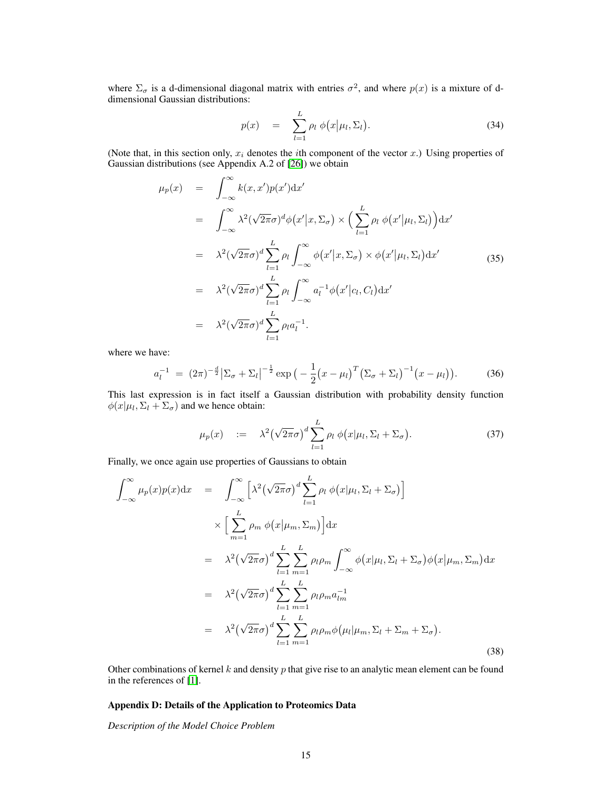where  $\Sigma_{\sigma}$  is a d-dimensional diagonal matrix with entries  $\sigma^2$ , and where  $p(x)$  is a mixture of ddimensional Gaussian distributions:

$$
p(x) = \sum_{l=1}^{L} \rho_l \phi(x|\mu_l, \Sigma_l). \tag{34}
$$

(Note that, in this section only,  $x_i$  denotes the *i*th component of the vector x.) Using properties of Gaussian distributions (see Appendix A.2 of [\[26\]](#page-8-24)) we obtain

$$
\mu_p(x) = \int_{-\infty}^{\infty} k(x, x')p(x')dx'
$$
  
\n
$$
= \int_{-\infty}^{\infty} \lambda^2(\sqrt{2\pi}\sigma)^d \phi(x'|x, \Sigma_{\sigma}) \times (\sum_{l=1}^{L} \rho_l \phi(x'|\mu_l, \Sigma_l))dx'
$$
  
\n
$$
= \lambda^2(\sqrt{2\pi}\sigma)^d \sum_{l=1}^{L} \rho_l \int_{-\infty}^{\infty} \phi(x'|x, \Sigma_{\sigma}) \times \phi(x'|\mu_l, \Sigma_l)dx'
$$
  
\n
$$
= \lambda^2(\sqrt{2\pi}\sigma)^d \sum_{l=1}^{L} \rho_l \int_{-\infty}^{\infty} a_l^{-1} \phi(x'|c_l, C_l)dx'
$$
  
\n
$$
= \lambda^2(\sqrt{2\pi}\sigma)^d \sum_{l=1}^{L} \rho_l a_l^{-1}.
$$
  
\n(35)

where we have:

$$
a_l^{-1} = (2\pi)^{-\frac{d}{2}} |\Sigma_{\sigma} + \Sigma_l|^{-\frac{1}{2}} \exp\big(-\frac{1}{2}(x-\mu_l)^T (\Sigma_{\sigma} + \Sigma_l)^{-1}(x-\mu_l)\big). \tag{36}
$$

This last expression is in fact itself a Gaussian distribution with probability density function  $\phi(x|\mu_l, \Sigma_l + \Sigma_{\sigma})$  and we hence obtain:

$$
\mu_p(x) \quad := \quad \lambda^2 \big(\sqrt{2\pi}\sigma\big)^d \sum_{l=1}^L \rho_l \; \phi\big(x|\mu_l, \Sigma_l + \Sigma_\sigma\big). \tag{37}
$$

Finally, we once again use properties of Gaussians to obtain

$$
\int_{-\infty}^{\infty} \mu_p(x) p(x) dx = \int_{-\infty}^{\infty} \left[ \lambda^2 (\sqrt{2\pi}\sigma)^d \sum_{l=1}^{L} \rho_l \phi(x|\mu_l, \Sigma_l + \Sigma_{\sigma}) \right]
$$
  
\n
$$
\times \left[ \sum_{m=1}^{L} \rho_m \phi(x|\mu_m, \Sigma_m) \right] dx
$$
  
\n
$$
= \lambda^2 (\sqrt{2\pi}\sigma)^d \sum_{l=1}^{L} \sum_{m=1}^{L} \rho_l \rho_m \int_{-\infty}^{\infty} \phi(x|\mu_l, \Sigma_l + \Sigma_{\sigma}) \phi(x|\mu_m, \Sigma_m) dx
$$
  
\n
$$
= \lambda^2 (\sqrt{2\pi}\sigma)^d \sum_{l=1}^{L} \sum_{m=1}^{L} \rho_l \rho_m a_{lm}^{-1}
$$
  
\n
$$
= \lambda^2 (\sqrt{2\pi}\sigma)^d \sum_{l=1}^{L} \sum_{m=1}^{L} \rho_l \rho_m \phi(\mu_l|\mu_m, \Sigma_l + \Sigma_m + \Sigma_{\sigma}).
$$
  
\n(38)

Other combinations of kernel  $k$  and density  $p$  that give rise to an analytic mean element can be found in the references of [\[1\]](#page-8-13).

## Appendix D: Details of the Application to Proteomics Data

*Description of the Model Choice Problem*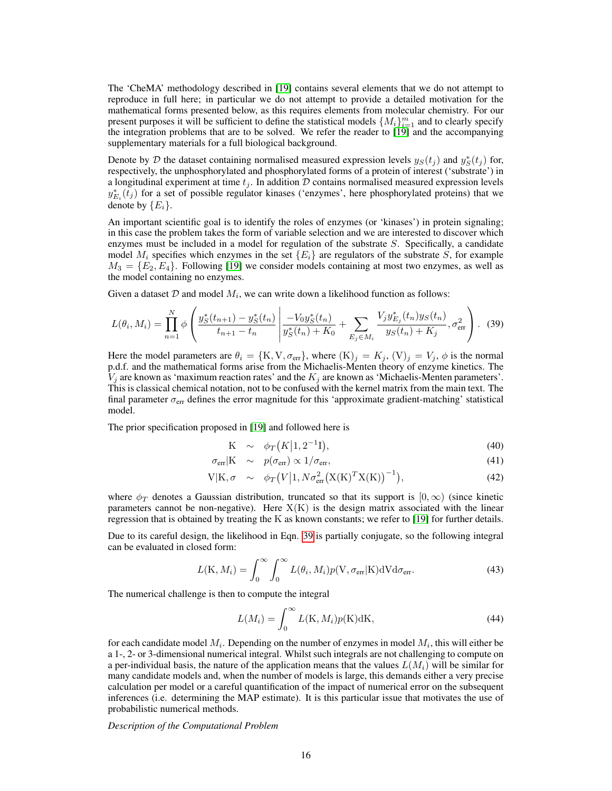The 'CheMA' methodology described in [\[19\]](#page-8-23) contains several elements that we do not attempt to reproduce in full here; in particular we do not attempt to provide a detailed motivation for the mathematical forms presented below, as this requires elements from molecular chemistry. For our present purposes it will be sufficient to define the statistical models  $\{M_i\}_{i=1}^m$  and to clearly specify the integration problems that are to be solved. We refer the reader to [\[19\]](#page-8-23) and the accompanying supplementary materials for a full biological background.

Denote by D the dataset containing normalised measured expression levels  $y_S(t_j)$  and  $y_S^*(t_j)$  for, respectively, the unphosphorylated and phosphorylated forms of a protein of interest ('substrate') in a longitudinal experiment at time  $t_j$ . In addition  $D$  contains normalised measured expression levels  $y_{E_i}^*(\overline{t_j})$  for a set of possible regulator kinases ('enzymes', here phosphorylated proteins) that we denote by  $\{E_i\}$ .

An important scientific goal is to identify the roles of enzymes (or 'kinases') in protein signaling; in this case the problem takes the form of variable selection and we are interested to discover which enzymes must be included in a model for regulation of the substrate  $S$ . Specifically, a candidate model  $M_i$  specifies which enzymes in the set  $\{E_i\}$  are regulators of the substrate S, for example  $M_3 = \{E_2, E_4\}$ . Following [\[19\]](#page-8-23) we consider models containing at most two enzymes, as well as the model containing no enzymes.

Given a dataset  $D$  and model  $M_i$ , we can write down a likelihood function as follows:  $\mathbf{r}$ 

<span id="page-15-0"></span>
$$
L(\theta_i, M_i) = \prod_{n=1}^N \phi \left( \frac{y_S^*(t_{n+1}) - y_S^*(t_n)}{t_{n+1} - t_n} \left| \frac{-V_0 y_S^*(t_n)}{y_S^*(t_n) + K_0} + \sum_{E_j \in M_i} \frac{V_j y_{E_j}^*(t_n) y_S(t_n)}{y_S(t_n) + K_j}, \sigma_{\text{err}}^2 \right. \right). \tag{39}
$$

Here the model parameters are  $\theta_i = \{K, V, \sigma_{\text{err}}\}$ , where  $(K)_j = K_j$ ,  $(V)_j = V_j$ ,  $\phi$  is the normal p.d.f. and the mathematical forms arise from the Michaelis-Menten theory of enzyme kinetics. The  $V_j$  are known as 'maximum reaction rates' and the  $K_j$  are known as 'Michaelis-Menten parameters'. This is classical chemical notation, not to be confused with the kernel matrix from the main text. The final parameter  $\sigma_{\text{err}}$  defines the error magnitude for this 'approximate gradient-matching' statistical model.

The prior specification proposed in [\[19\]](#page-8-23) and followed here is

$$
K \sim \phi_T(K|1, 2^{-1}I), \tag{40}
$$

$$
\sigma_{\rm err} | K \sim p(\sigma_{\rm err}) \propto 1/\sigma_{\rm err}, \tag{41}
$$

$$
V|K, \sigma \sim \phi_T(V|1, N\sigma_{err}^2(X(K)^T X(K))^{-1}), \qquad (42)
$$

where  $\phi_T$  denotes a Gaussian distribution, truncated so that its support is  $[0, \infty)$  (since kinetic parameters cannot be non-negative). Here  $X(K)$  is the design matrix associated with the linear regression that is obtained by treating the K as known constants; we refer to [\[19\]](#page-8-23) for further details.

Due to its careful design, the likelihood in Eqn. [39](#page-15-0) is partially conjugate, so the following integral can be evaluated in closed form:

$$
L(\mathbf{K}, M_i) = \int_0^\infty \int_0^\infty L(\theta_i, M_i) p(\mathbf{V}, \sigma_{\text{err}} | \mathbf{K}) \, d\mathbf{V} \, d\sigma_{\text{err}}.
$$
\n(43)

The numerical challenge is then to compute the integral

$$
L(M_i) = \int_0^\infty L(\mathbf{K}, M_i) p(\mathbf{K}) \mathrm{d}\mathbf{K},\tag{44}
$$

for each candidate model  $M_i$ . Depending on the number of enzymes in model  $M_i$ , this will either be a 1-, 2- or 3-dimensional numerical integral. Whilst such integrals are not challenging to compute on a per-individual basis, the nature of the application means that the values  $L(M_i)$  will be similar for many candidate models and, when the number of models is large, this demands either a very precise calculation per model or a careful quantification of the impact of numerical error on the subsequent inferences (i.e. determining the MAP estimate). It is this particular issue that motivates the use of probabilistic numerical methods.

*Description of the Computational Problem*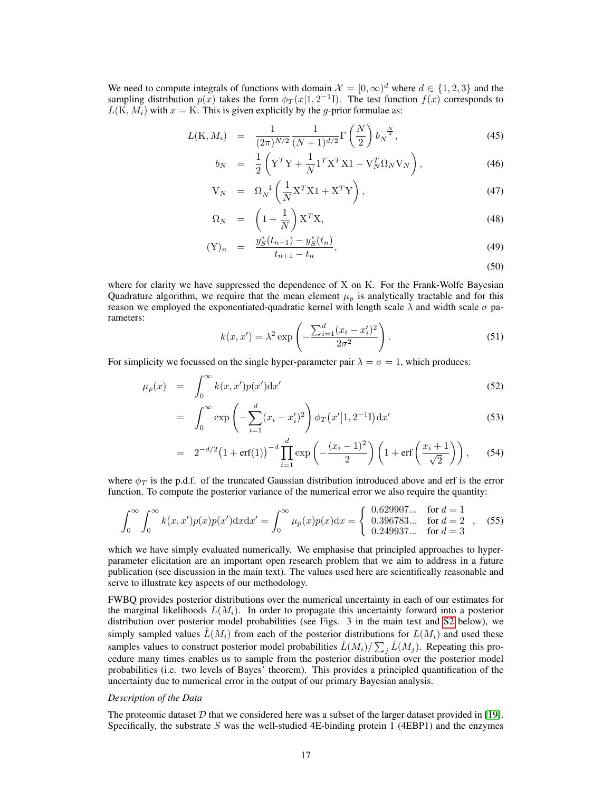We need to compute integrals of functions with domain  $\mathcal{X} = [0, \infty)^d$  where  $d \in \{1, 2, 3\}$  and the sampling distribution  $p(x)$  takes the form  $\phi_T(x|1, 2^{-1}I)$ . The test function  $f(x)$  corresponds to  $L(K, M_i)$  with  $x = K$ . This is given explicitly by the g-prior formulae as:

$$
L(\mathbf{K}, M_i) = \frac{1}{(2\pi)^{N/2}} \frac{1}{(N+1)^{d/2}} \Gamma\left(\frac{N}{2}\right) b_N^{-\frac{N}{2}},
$$
\n(45)

$$
b_N = \frac{1}{2} \left( \mathbf{Y}^T \mathbf{Y} + \frac{1}{N} \mathbf{1}^T \mathbf{X}^T \mathbf{X} \mathbf{1} - \mathbf{V}_N^T \Omega_N \mathbf{V}_N \right), \tag{46}
$$

$$
V_N = \Omega_N^{-1} \left( \frac{1}{N} X^T X 1 + X^T Y \right), \tag{47}
$$

$$
\Omega_N = \left(1 + \frac{1}{N}\right) \mathbf{X}^T \mathbf{X},\tag{48}
$$

$$
(\mathbf{Y})_n = \frac{y_S^*(t_{n+1}) - y_S^*(t_n)}{t_{n+1} - t_n},\tag{49}
$$

(50)

where for clarity we have suppressed the dependence of X on K. For the Frank-Wolfe Bayesian Quadrature algorithm, we require that the mean element  $\mu_p$  is analytically tractable and for this reason we employed the exponentiated-quadratic kernel with length scale  $\lambda$  and width scale  $\sigma$  parameters:

$$
k(x, x') = \lambda^2 \exp\left(-\frac{\sum_{i=1}^d (x_i - x'_i)^2}{2\sigma^2}\right).
$$
 (51)

For simplicity we focussed on the single hyper-parameter pair  $\lambda = \sigma = 1$ , which produces:

$$
\mu_p(x) = \int_0^\infty k(x, x') p(x') \mathrm{d}x' \tag{52}
$$

$$
= \int_0^\infty \exp\left(-\sum_{i=1}^d (x_i - x_i')^2\right) \phi_T(x'|1, 2^{-1}I) dx'
$$
 (53)

$$
= 2^{-d/2} (1 + erf(1))^{-d} \prod_{i=1}^{d} exp \left(-\frac{(x_i - 1)^2}{2}\right) \left(1 + erf\left(\frac{x_i + 1}{\sqrt{2}}\right)\right), \quad (54)
$$

where  $\phi_T$  is the p.d.f. of the truncated Gaussian distribution introduced above and erf is the error function. To compute the posterior variance of the numerical error we also require the quantity:

$$
\int_0^\infty \int_0^\infty k(x, x') p(x) p(x') dx dx' = \int_0^\infty \mu_p(x) p(x) dx = \begin{cases} 0.629907... & \text{for } d = 1\\ 0.396783... & \text{for } d = 2\\ 0.249937... & \text{for } d = 3 \end{cases}
$$
 (55)

which we have simply evaluated numerically. We emphasise that principled approaches to hyperparameter elicitation are an important open research problem that we aim to address in a future publication (see discussion in the main text). The values used here are scientifically reasonable and serve to illustrate key aspects of our methodology.

FWBQ provides posterior distributions over the numerical uncertainty in each of our estimates for the marginal likelihoods  $L(M_i)$ . In order to propagate this uncertainty forward into a posterior distribution over posterior model probabilities (see Figs. 3 in the main text and [S2](#page-6-0) below), we simply sampled values  $L(M_i)$  from each of the posterior distributions for  $L(M_i)$  and used these samples values to construct posterior model probabilities  $\hat{L}(M_i)/\sum_j \hat{L}(M_j)$ . Repeating this procedure many times enables us to sample from the posterior distribution over the posterior model probabilities (i.e. two levels of Bayes' theorem). This provides a principled quantification of the uncertainty due to numerical error in the output of our primary Bayesian analysis.

#### *Description of the Data*

The proteomic dataset  $D$  that we considered here was a subset of the larger dataset provided in [\[19\]](#page-8-23). Specifically, the substrate  $S$  was the well-studied 4E-binding protein 1 (4EBP1) and the enzymes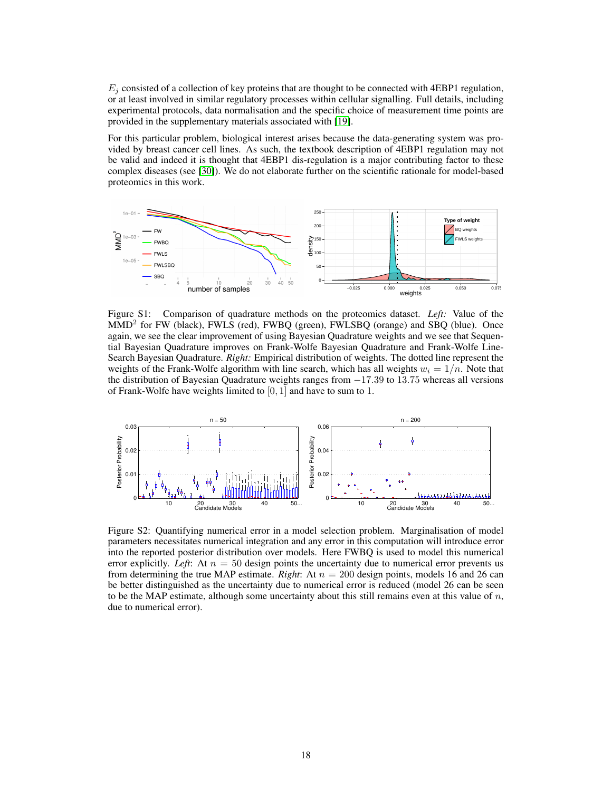$E_i$  consisted of a collection of key proteins that are thought to be connected with 4EBP1 regulation, or at least involved in similar regulatory processes within cellular signalling. Full details, including experimental protocols, data normalisation and the specific choice of measurement time points are provided in the supplementary materials associated with [\[19\]](#page-8-23).

For this particular problem, biological interest arises because the data-generating system was provided by breast cancer cell lines. As such, the textbook description of 4EBP1 regulation may not be valid and indeed it is thought that 4EBP1 dis-regulation is a major contributing factor to these complex diseases (see [\[30\]](#page-9-3)). We do not elaborate further on the scientific rationale for model-based proteomics in this work.



Figure S1: Comparison of quadrature methods on the proteomics dataset. *Left:* Value of the MMD<sup>2</sup> for FW (black), FWLS (red), FWBQ (green), FWLSBQ (orange) and SBQ (blue). Once again, we see the clear improvement of using Bayesian Quadrature weights and we see that Sequential Bayesian Quadrature improves on Frank-Wolfe Bayesian Quadrature and Frank-Wolfe Line-Search Bayesian Quadrature. *Right:* Empirical distribution of weights. The dotted line represent the weights of the Frank-Wolfe algorithm with line search, which has all weights  $w_i = 1/n$ . Note that the distribution of Bayesian Quadrature weights ranges from −17.39 to 13.75 whereas all versions of Frank-Wolfe have weights limited to  $[0, 1]$  and have to sum to 1.



Figure S2: Quantifying numerical error in a model selection problem. Marginalisation of model parameters necessitates numerical integration and any error in this computation will introduce error into the reported posterior distribution over models. Here FWBQ is used to model this numerical error explicitly. *Left*: At  $n = 50$  design points the uncertainty due to numerical error prevents us from determining the true MAP estimate. *Right*: At  $n = 200$  design points, models 16 and 26 can be better distinguished as the uncertainty due to numerical error is reduced (model 26 can be seen to be the MAP estimate, although some uncertainty about this still remains even at this value of  $n$ , due to numerical error).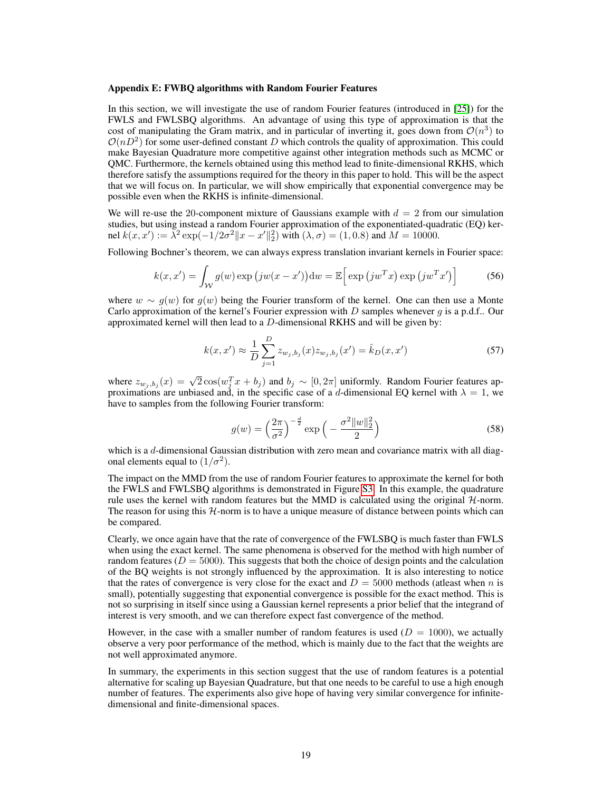#### Appendix E: FWBQ algorithms with Random Fourier Features

In this section, we will investigate the use of random Fourier features (introduced in [\[25\]](#page-8-25)) for the FWLS and FWLSBQ algorithms. An advantage of using this type of approximation is that the cost of manipulating the Gram matrix, and in particular of inverting it, goes down from  $\mathcal{O}(n^3)$  to  $\mathcal{O}(nD^2)$  for some user-defined constant D which controls the quality of approximation. This could make Bayesian Quadrature more competitive against other integration methods such as MCMC or QMC. Furthermore, the kernels obtained using this method lead to finite-dimensional RKHS, which therefore satisfy the assumptions required for the theory in this paper to hold. This will be the aspect that we will focus on. In particular, we will show empirically that exponential convergence may be possible even when the RKHS is infinite-dimensional.

We will re-use the 20-component mixture of Gaussians example with  $d = 2$  from our simulation studies, but using instead a random Fourier approximation of the exponentiated-quadratic (EQ) kernel  $k(x, x') := \overline{\lambda}^2 \exp(-\frac{1}{2\sigma^2} \|x - x'\|_2^2)$  with  $(\lambda, \sigma) = (1, 0.8)$  and  $M = 10000$ .

Following Bochner's theorem, we can always express translation invariant kernels in Fourier space:

$$
k(x, x') = \int_{\mathcal{W}} g(w) \exp (jw(x - x')) dw = \mathbb{E} \Big[ \exp (jw^T x) \exp (jw^T x') \Big] \tag{56}
$$

where  $w \sim g(w)$  for  $g(w)$  being the Fourier transform of the kernel. One can then use a Monte Carlo approximation of the kernel's Fourier expression with  $D$  samples whenever  $g$  is a p.d.f.. Our approximated kernel will then lead to a  $D$ -dimensional RKHS and will be given by:

$$
k(x, x') \approx \frac{1}{D} \sum_{j=1}^{D} z_{w_j, b_j}(x) z_{w_j, b_j}(x') = \hat{k}_D(x, x')
$$
 (57)

where  $z_{w_j,b_j}(x) = \sqrt{2}\cos(w_j^T x + b_j)$  and  $b_j \sim [0,2\pi]$  uniformly. Random Fourier features approximations are unbiased and, in the specific case of a d-dimensional EQ kernel with  $\lambda = 1$ , we have to samples from the following Fourier transform:

$$
g(w) = \left(\frac{2\pi}{\sigma^2}\right)^{-\frac{d}{2}} \exp\left(-\frac{\sigma^2 \|w\|_2^2}{2}\right)
$$
 (58)

which is a  $d$ -dimensional Gaussian distribution with zero mean and covariance matrix with all diagonal elements equal to  $(1/\sigma^2)$ .

The impact on the MMD from the use of random Fourier features to approximate the kernel for both the FWLS and FWLSBQ algorithms is demonstrated in Figure [S3.](#page-7-0) In this example, the quadrature rule uses the kernel with random features but the MMD is calculated using the original  $H$ -norm. The reason for using this  $H$ -norm is to have a unique measure of distance between points which can be compared.

Clearly, we once again have that the rate of convergence of the FWLSBQ is much faster than FWLS when using the exact kernel. The same phenomena is observed for the method with high number of random features ( $D = 5000$ ). This suggests that both the choice of design points and the calculation of the BQ weights is not strongly influenced by the approximation. It is also interesting to notice that the rates of convergence is very close for the exact and  $D = 5000$  methods (at least when n is small), potentially suggesting that exponential convergence is possible for the exact method. This is not so surprising in itself since using a Gaussian kernel represents a prior belief that the integrand of interest is very smooth, and we can therefore expect fast convergence of the method.

However, in the case with a smaller number of random features is used  $(D = 1000)$ , we actually observe a very poor performance of the method, which is mainly due to the fact that the weights are not well approximated anymore.

In summary, the experiments in this section suggest that the use of random features is a potential alternative for scaling up Bayesian Quadrature, but that one needs to be careful to use a high enough number of features. The experiments also give hope of having very similar convergence for infinitedimensional and finite-dimensional spaces.